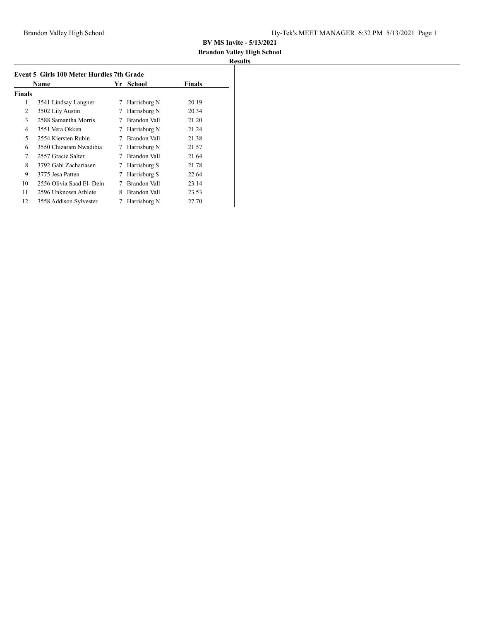# **Brandon Valley High School**

|               | Name                      |   | School<br>Yr | Finals |
|---------------|---------------------------|---|--------------|--------|
| <b>Finals</b> |                           |   |              |        |
| 1             | 3541 Lindsay Langner      | 7 | Harrisburg N | 20.19  |
| 2             | 3502 Lily Austin          | 7 | Harrisburg N | 20.34  |
| 3             | 2588 Samantha Morris      |   | Brandon Vall | 21.20  |
| 4             | 3551 Vera Okken           | 7 | Harrisburg N | 21.24  |
| 5             | 2554 Kiersten Rubin       |   | Brandon Vall | 21.38  |
| 6             | 3550 Chizaram Nwadibia    | 7 | Harrisburg N | 21.57  |
| 7             | 2557 Gracie Salter        | 7 | Brandon Vall | 21.64  |
| 8             | 3792 Gabi Zachariasen     | 7 | Harrisburg S | 21.78  |
| 9             | 3775 Jesa Patten          | 7 | Harrisburg S | 22.64  |
| 10            | 2556 Olivia Saad El- Dein | 7 | Brandon Vall | 23.14  |
| 11            | 2596 Unknown Athlete      | 8 | Brandon Vall | 23.53  |
| 12            | 3558 Addison Sylvester    | 7 | Harrisburg N | 27.70  |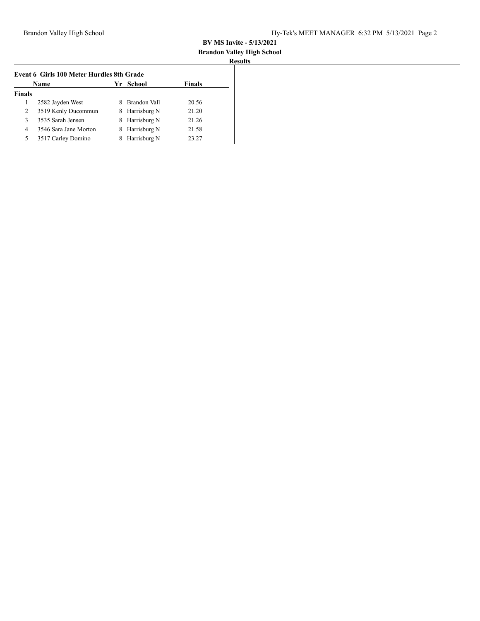#### **Brandon Valley High School Results**

| <b>Finals</b><br>Name<br>Yr School |                       |   |                |       |  |
|------------------------------------|-----------------------|---|----------------|-------|--|
| <b>Finals</b>                      |                       |   |                |       |  |
|                                    | 2582 Jayden West      |   | Brandon Vall   | 20.56 |  |
| 2                                  | 3519 Kenly Ducommun   |   | 8 Harrisburg N | 21.20 |  |
| 3                                  | 3535 Sarah Jensen     |   | 8 Harrisburg N | 21.26 |  |
| 4                                  | 3546 Sara Jane Morton | 8 | Harrisburg N   | 21.58 |  |
| 5                                  | 3517 Carley Domino    |   | Harrisburg N   | 23.27 |  |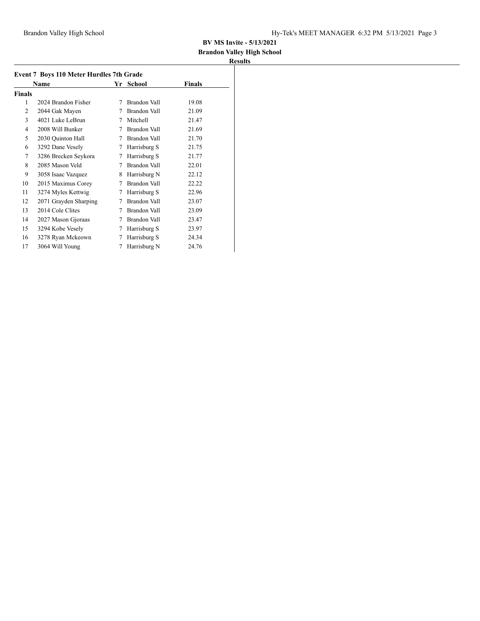# **Brandon Valley High School**

| <b>Event 7 Boys 110 Meter Hurdles 7th Grade</b> |                       |   |                     |        |  |  |  |
|-------------------------------------------------|-----------------------|---|---------------------|--------|--|--|--|
|                                                 | Name                  |   | Yr School           | Finals |  |  |  |
| <b>Finals</b>                                   |                       |   |                     |        |  |  |  |
| 1                                               | 2024 Brandon Fisher   | 7 | Brandon Vall        | 19.08  |  |  |  |
| $\overline{2}$                                  | 2044 Gak Mayen        | 7 | Brandon Vall        | 21.09  |  |  |  |
| 3                                               | 4021 Luke LeBrun      | 7 | Mitchell            | 21.47  |  |  |  |
| 4                                               | 2008 Will Bunker      | 7 | Brandon Vall        | 21.69  |  |  |  |
| 5                                               | 2030 Quinton Hall     | 7 | Brandon Vall        | 21.70  |  |  |  |
| 6                                               | 3292 Dane Vesely      | 7 | Harrisburg S        | 21.75  |  |  |  |
| 7                                               | 3286 Brecken Seykora  | 7 | Harrisburg S        | 21.77  |  |  |  |
| 8                                               | 2085 Mason Veld       | 7 | Brandon Vall        | 22.01  |  |  |  |
| 9                                               | 3058 Isaac Vazquez    | 8 | Harrisburg N        | 22.12  |  |  |  |
| 10                                              | 2015 Maximus Corey    | 7 | Brandon Vall        | 22.22  |  |  |  |
| 11                                              | 3274 Myles Kettwig    | 7 | Harrisburg S        | 22.96  |  |  |  |
| 12                                              | 2071 Grayden Sharping | 7 | Brandon Vall        | 23.07  |  |  |  |
| 13                                              | 2014 Cole Clites      | 7 | <b>Brandon Vall</b> | 23.09  |  |  |  |
| 14                                              | 2027 Mason Gjoraas    | 7 | Brandon Vall        | 23.47  |  |  |  |
| 15                                              | 3294 Kobe Vesely      | 7 | Harrisburg S        | 23.97  |  |  |  |
| 16                                              | 3278 Ryan Mckeown     | 7 | Harrisburg S        | 24.34  |  |  |  |
| 17                                              | 3064 Will Young       | 7 | Harrisburg N        | 24.76  |  |  |  |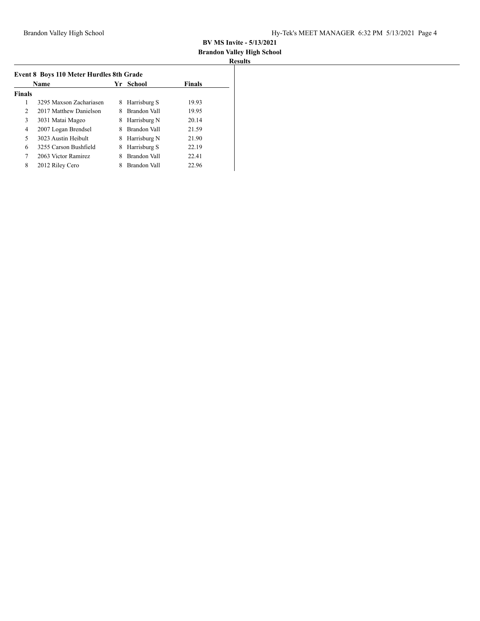#### **Brandon Valley High School Results**

| <b>tesults</b> |  |
|----------------|--|
|                |  |

|               | <b>Name</b>             |   | Yr School    | <b>Finals</b> |
|---------------|-------------------------|---|--------------|---------------|
| <b>Finals</b> |                         |   |              |               |
| 1             | 3295 Maxson Zachariasen | 8 | Harrisburg S | 19.93         |
| 2             | 2017 Matthew Danielson  |   | Brandon Vall | 19.95         |
| 3             | 3031 Matai Mageo        | 8 | Harrisburg N | 20.14         |
| 4             | 2007 Logan Brendsel     | 8 | Brandon Vall | 21.59         |
| 5             | 3023 Austin Heibult     | 8 | Harrisburg N | 21.90         |
| 6             | 3255 Carson Bushfield   | 8 | Harrisburg S | 22.19         |
| 7             | 2063 Victor Ramirez     | 8 | Brandon Vall | 22.41         |
| 8             | 2012 Riley Cero         |   | Brandon Vall | 22.96         |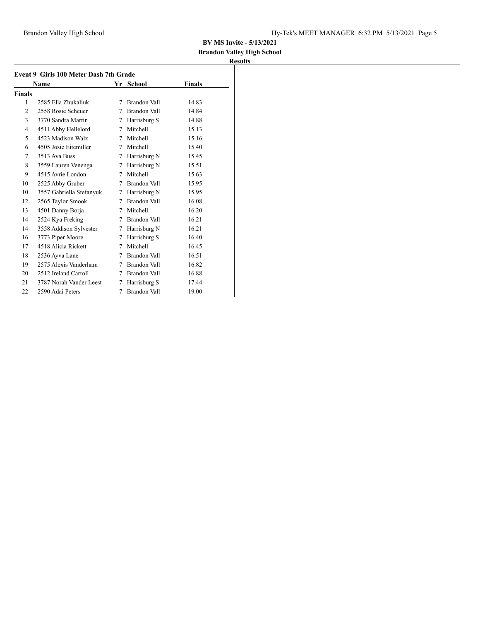## **Brandon Valley High School**

|               | Event 9 Girls 100 Meter Dash 7th Grade |   |                     |               |
|---------------|----------------------------------------|---|---------------------|---------------|
|               | Name                                   |   | Yr School           | <b>Finals</b> |
| <b>Finals</b> |                                        |   |                     |               |
| 1             | 2585 Ella Zhukaliuk                    | 7 | <b>Brandon Vall</b> | 14.83         |
| 2             | 2558 Rosie Scheuer                     | 7 | Brandon Vall        | 14.84         |
| 3             | 3770 Sandra Martin                     | 7 | Harrisburg S        | 14.88         |
| 4             | 4511 Abby Hellelord                    | 7 | Mitchell            | 15.13         |
| 5             | 4523 Madison Walz                      | 7 | Mitchell            | 15.16         |
| 6             | 4505 Josie Eitemiller                  | 7 | Mitchell            | 15.40         |
| 7             | 3513 Ava Buss                          | 7 | Harrisburg N        | 15.45         |
| 8             | 3559 Lauren Venenga                    | 7 | Harrisburg N        | 15.51         |
| 9             | 4515 Avrie London                      | 7 | Mitchell            | 15.63         |
| 10            | 2525 Abby Gruber                       | 7 | Brandon Vall        | 15.95         |
| 10            | 3557 Gabriella Stefanyuk               | 7 | Harrisburg N        | 15.95         |
| 12            | 2565 Taylor Smook                      | 7 | Brandon Vall        | 16.08         |
| 13            | 4501 Danny Borja                       | 7 | Mitchell            | 16.20         |
| 14            | 2524 Kya Freking                       | 7 | Brandon Vall        | 16.21         |
| 14            | 3558 Addison Sylvester                 | 7 | Harrisburg N        | 16.21         |
| 16            | 3773 Piper Moore                       | 7 | Harrisburg S        | 16.40         |
| 17            | 4518 Alicia Rickett                    | 7 | Mitchell            | 16.45         |
| 18            | 2536 Ayva Lane                         | 7 | Brandon Vall        | 16.51         |
| 19            | 2575 Alexis Vanderham                  | 7 | Brandon Vall        | 16.82         |
| 20            | 2512 Ireland Carroll                   | 7 | Brandon Vall        | 16.88         |
| 21            | 3787 Norah Vander Leest                | 7 | Harrisburg S        | 17.44         |
| 22            | 2590 Adai Peters                       | 7 | <b>Brandon Vall</b> | 19.00         |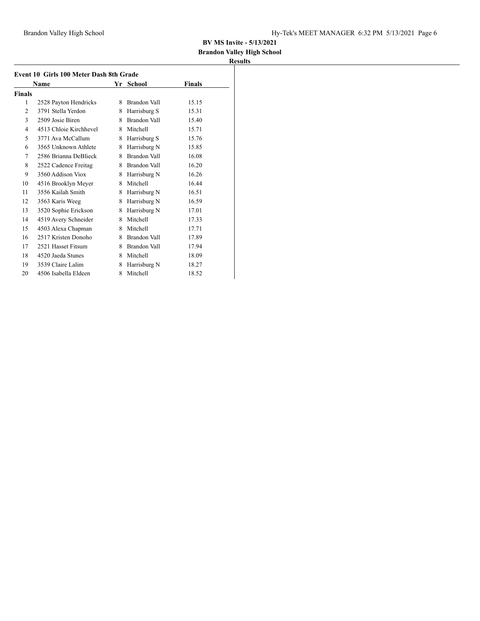## **Brandon Valley High School**

| Event 10 Girls 100 Meter Dash 8th Grade |                        |   |              |        |  |  |  |
|-----------------------------------------|------------------------|---|--------------|--------|--|--|--|
|                                         | Name                   |   | Yr School    | Finals |  |  |  |
| <b>Finals</b>                           |                        |   |              |        |  |  |  |
| 1                                       | 2528 Payton Hendricks  | 8 | Brandon Vall | 15.15  |  |  |  |
| $\overline{c}$                          | 3791 Stella Yerdon     | 8 | Harrisburg S | 15.31  |  |  |  |
| 3                                       | 2509 Josie Biren       | 8 | Brandon Vall | 15.40  |  |  |  |
| 4                                       | 4513 Chloie Kirchhevel | 8 | Mitchell     | 15.71  |  |  |  |
| 5                                       | 3771 Ava McCallum      | 8 | Harrisburg S | 15.76  |  |  |  |
| 6                                       | 3565 Unknown Athlete   | 8 | Harrisburg N | 15.85  |  |  |  |
| 7                                       | 2586 Brianna DeBlieck  | 8 | Brandon Vall | 16.08  |  |  |  |
| 8                                       | 2522 Cadence Freitag   | 8 | Brandon Vall | 16.20  |  |  |  |
| 9                                       | 3560 Addison Viox      | 8 | Harrisburg N | 16.26  |  |  |  |
| 10                                      | 4516 Brooklyn Meyer    | 8 | Mitchell     | 16.44  |  |  |  |
| 11                                      | 3556 Kailah Smith      | 8 | Harrisburg N | 16.51  |  |  |  |
| 12                                      | 3563 Karis Weeg        | 8 | Harrisburg N | 16.59  |  |  |  |
| 13                                      | 3520 Sophie Erickson   | 8 | Harrisburg N | 17.01  |  |  |  |
| 14                                      | 4519 Avery Schneider   | 8 | Mitchell     | 17.33  |  |  |  |
| 15                                      | 4503 Alexa Chapman     | 8 | Mitchell     | 17.71  |  |  |  |
| 16                                      | 2517 Kristen Donoho    | 8 | Brandon Vall | 17.89  |  |  |  |
| 17                                      | 2521 Hasset Fitsum     | 8 | Brandon Vall | 17.94  |  |  |  |
| 18                                      | 4520 Jaeda Stunes      | 8 | Mitchell     | 18.09  |  |  |  |
| 19                                      | 3539 Claire Lalim      | 8 | Harrisburg N | 18.27  |  |  |  |
| 20                                      | 4506 Isabella Eldeen   | 8 | Mitchell     | 18.52  |  |  |  |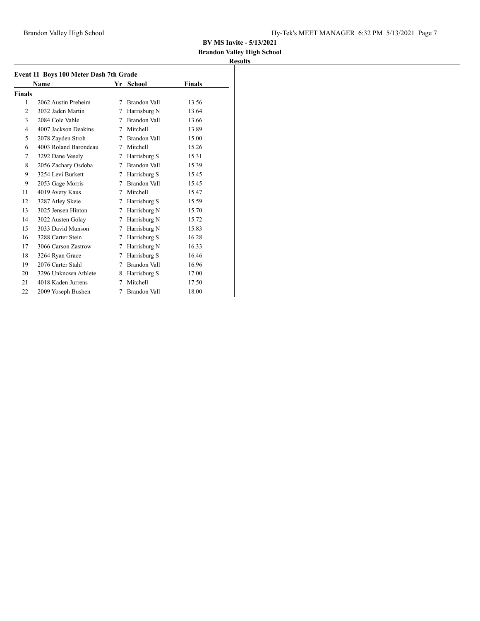## **Brandon Valley High School**

|               | Name                  |   | Yr School           | Finals |
|---------------|-----------------------|---|---------------------|--------|
| <b>Finals</b> |                       |   |                     |        |
| 1             | 2062 Austin Preheim   | 7 | Brandon Vall        | 13.56  |
| 2             | 3032 Jaden Martin     | 7 | Harrisburg N        | 13.64  |
| 3             | 2084 Cole Vahle       | 7 | Brandon Vall        | 13.66  |
| 4             | 4007 Jackson Deakins  | 7 | Mitchell            | 13.89  |
| 5             | 2078 Zayden Stroh     | 7 | Brandon Vall        | 15.00  |
| 6             | 4003 Roland Barondeau | 7 | Mitchell            | 15.26  |
| 7             | 3292 Dane Vesely      | 7 | Harrisburg S        | 15.31  |
| 8             | 2056 Zachary Osdoba   | 7 | Brandon Vall        | 15.39  |
| 9             | 3254 Levi Burkett     | 7 | Harrisburg S        | 15.45  |
| 9             | 2053 Gage Morris      | 7 | Brandon Vall        | 15.45  |
| 11            | 4019 Avery Kaus       | 7 | Mitchell            | 15.47  |
| 12            | 3287 Atley Skeie      | 7 | Harrisburg S        | 15.59  |
| 13            | 3025 Jensen Hinton    | 7 | Harrisburg N        | 15.70  |
| 14            | 3022 Austen Golay     | 7 | Harrisburg N        | 15.72  |
| 15            | 3033 David Munson     | 7 | Harrisburg N        | 15.83  |
| 16            | 3288 Carter Stein     | 7 | Harrisburg S        | 16.28  |
| 17            | 3066 Carson Zastrow   | 7 | Harrisburg N        | 16.33  |
| 18            | 3264 Ryan Grace       | 7 | Harrisburg S        | 16.46  |
| 19            | 2076 Carter Stahl     | 7 | Brandon Vall        | 16.96  |
| 20            | 3296 Unknown Athlete  | 8 | Harrisburg S        | 17.00  |
| 21            | 4018 Kaden Jurrens    | 7 | Mitchell            | 17.50  |
| 22            | 2009 Yoseph Bushen    | 7 | <b>Brandon Vall</b> | 18.00  |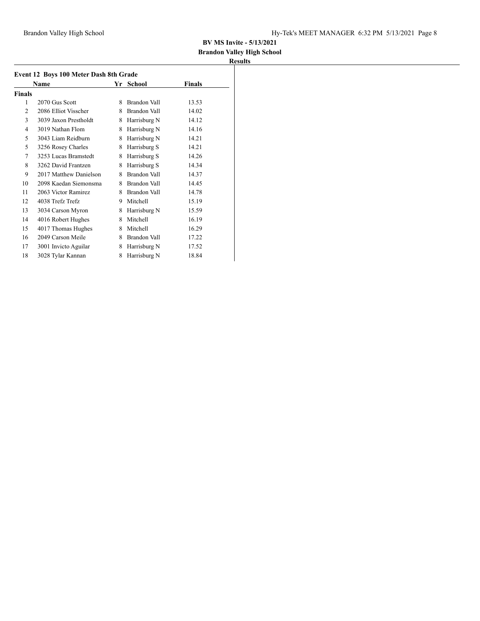## **Brandon Valley High School**

|               | Name                   |   | Yr School    | <b>Finals</b> |
|---------------|------------------------|---|--------------|---------------|
| <b>Finals</b> |                        |   |              |               |
| 1             | 2070 Gus Scott         | 8 | Brandon Vall | 13.53         |
| 2             | 2086 Elliot Visscher   | 8 | Brandon Vall | 14.02         |
| 3             | 3039 Jaxon Prestholdt  | 8 | Harrisburg N | 14.12         |
| 4             | 3019 Nathan Flom       | 8 | Harrisburg N | 14.16         |
| 5             | 3043 Liam Reidburn     | 8 | Harrisburg N | 14.21         |
| 5             | 3256 Rosey Charles     | 8 | Harrisburg S | 14.21         |
| 7             | 3253 Lucas Bramstedt   | 8 | Harrisburg S | 14.26         |
| 8             | 3262 David Frantzen    | 8 | Harrisburg S | 14.34         |
| 9             | 2017 Matthew Danielson | 8 | Brandon Vall | 14.37         |
| 10            | 2098 Kaedan Siemonsma  | 8 | Brandon Vall | 14.45         |
| 11            | 2063 Victor Ramirez    | 8 | Brandon Vall | 14.78         |
| 12            | 4038 Trefz Trefz       | 9 | Mitchell     | 15.19         |
| 13            | 3034 Carson Myron      | 8 | Harrisburg N | 15.59         |
| 14            | 4016 Robert Hughes     | 8 | Mitchell     | 16.19         |
| 15            | 4017 Thomas Hughes     | 8 | Mitchell     | 16.29         |
| 16            | 2049 Carson Meile      | 8 | Brandon Vall | 17.22         |
| 17            | 3001 Invicto Aguilar   | 8 | Harrisburg N | 17.52         |
| 18            | 3028 Tylar Kannan      | 8 | Harrisburg N | 18.84         |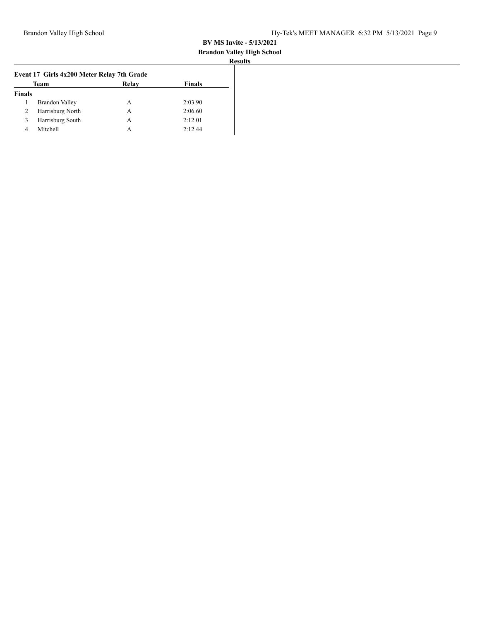#### **Brandon Valley High School Results**

|               | Event 17 Girls 4x200 Meter Relay 7th Grade |       |               |  |  |  |  |
|---------------|--------------------------------------------|-------|---------------|--|--|--|--|
|               | Team                                       | Relay | <b>Finals</b> |  |  |  |  |
| <b>Finals</b> |                                            |       |               |  |  |  |  |
| 1             | <b>Brandon Valley</b>                      | А     | 2:03.90       |  |  |  |  |
| 2             | Harrisburg North                           | А     | 2:06.60       |  |  |  |  |
| 3             | Harrisburg South                           | А     | 2:12.01       |  |  |  |  |
| 4             | Mitchell                                   | А     | 2:12.44       |  |  |  |  |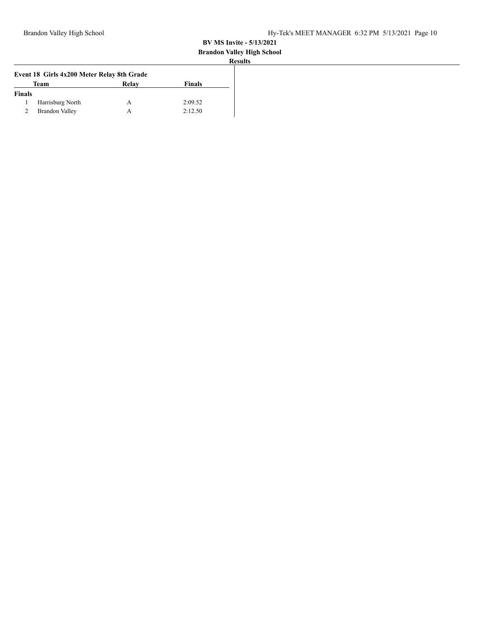#### **Brandon Valley High School**

| Team                  | Relay | <b>Finals</b>                              |
|-----------------------|-------|--------------------------------------------|
| Finals                |       |                                            |
| Harrisburg North      | А     | 2:09.52                                    |
| <b>Brandon Valley</b> | А     | 2:12.50                                    |
|                       |       | Event 18 Girls 4x200 Meter Relay 8th Grade |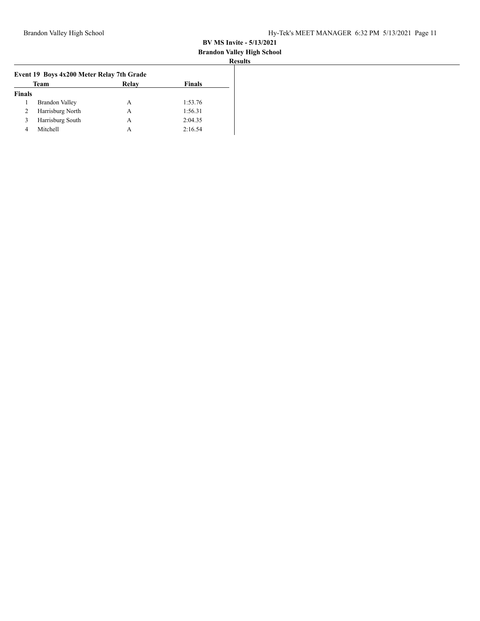#### **Brandon Valley High School Results**

|               | Event 19 Boys 4x200 Meter Relay 7th Grade |       |               |  |  |  |  |  |
|---------------|-------------------------------------------|-------|---------------|--|--|--|--|--|
|               | Team                                      | Relay | <b>Finals</b> |  |  |  |  |  |
| <b>Finals</b> |                                           |       |               |  |  |  |  |  |
|               | <b>Brandon Valley</b>                     | А     | 1:53.76       |  |  |  |  |  |
| 2             | Harrisburg North                          | А     | 1:56.31       |  |  |  |  |  |
| 3             | Harrisburg South                          | A     | 2:04.35       |  |  |  |  |  |
| 4             | Mitchell                                  | А     | 2:16.54       |  |  |  |  |  |
|               |                                           |       |               |  |  |  |  |  |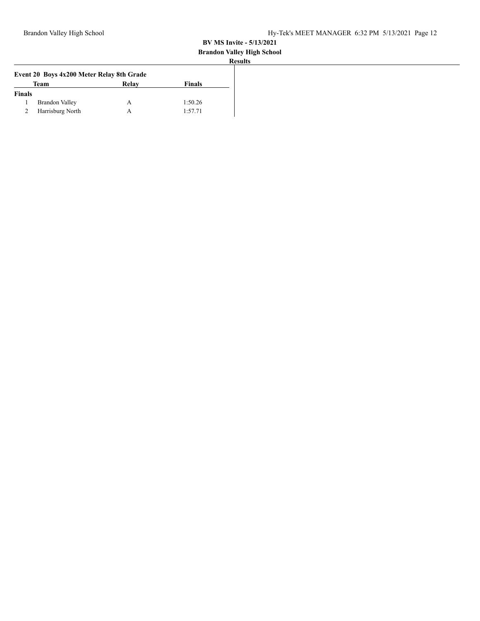# **Brandon Valley High School**

|               | Event 20 Boys 4x200 Meter Relay 8th Grade |       |               |
|---------------|-------------------------------------------|-------|---------------|
|               | Team                                      | Relay | <b>Finals</b> |
| <b>Finals</b> |                                           |       |               |
|               | Brandon Valley                            |       | 1:50.26       |
|               | Harrisburg North                          |       | 1:57.71       |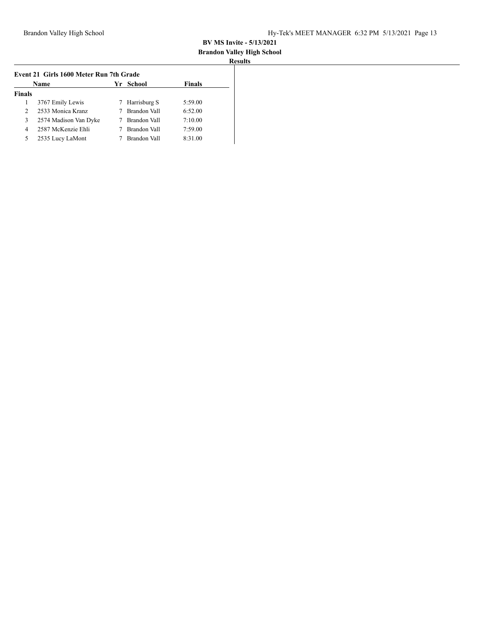# **Brandon Valley High School**

| Event 21 Girls 1600 Meter Run 7th Grade   |                       |   |              |         |  |
|-------------------------------------------|-----------------------|---|--------------|---------|--|
| <b>Finals</b><br>Yr School<br><b>Name</b> |                       |   |              |         |  |
| <b>Finals</b>                             |                       |   |              |         |  |
|                                           | 3767 Emily Lewis      | 7 | Harrisburg S | 5:59.00 |  |
| $\mathcal{L}$                             | 2533 Monica Kranz     |   | Brandon Vall | 6:52.00 |  |
| 3                                         | 2574 Madison Van Dyke |   | Brandon Vall | 7:10.00 |  |
| 4                                         | 2587 McKenzie Ehli    |   | Brandon Vall | 7:59.00 |  |
| 5                                         | 2535 Lucy LaMont      |   | Brandon Vall | 8:31.00 |  |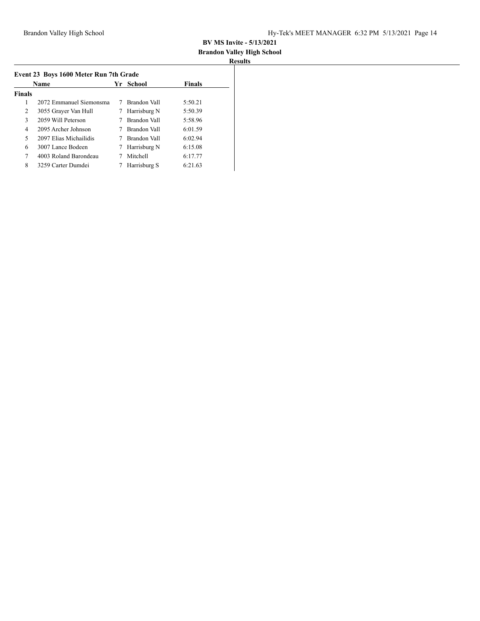## **Brandon Valley High School**

| Name          |                         |   | Yr School    | <b>Finals</b> |
|---------------|-------------------------|---|--------------|---------------|
| <b>Finals</b> |                         |   |              |               |
| 1             | 2072 Emmanuel Siemonsma | 7 | Brandon Vall | 5:50.21       |
| 2             | 3055 Grayer Van Hull    | 7 | Harrisburg N | 5:50.39       |
| 3             | 2059 Will Peterson      |   | Brandon Vall | 5:58.96       |
| 4             | 2095 Archer Johnson     |   | Brandon Vall | 6:01.59       |
| 5             | 2097 Elias Michailidis  |   | Brandon Vall | 6:02.94       |
| 6             | 3007 Lance Bodeen       | 7 | Harrisburg N | 6:15.08       |
| 7             | 4003 Roland Barondeau   |   | Mitchell     | 6:17.77       |
| 8             | 3259 Carter Dumdei      |   | Harrisburg S | 6:21.63       |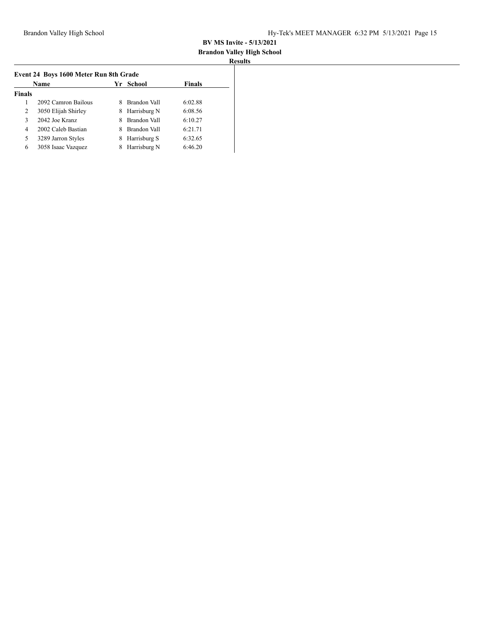# **Brandon Valley High School**

|               | Name                |    | Yr School    | <b>Finals</b> |
|---------------|---------------------|----|--------------|---------------|
| <b>Finals</b> |                     |    |              |               |
|               | 2092 Camron Bailous |    | Brandon Vall | 6:02.88       |
| 2             | 3050 Elijah Shirley | 8. | Harrisburg N | 6:08.56       |
| 3             | 2042 Joe Kranz      |    | Brandon Vall | 6:10.27       |
| 4             | 2002 Caleb Bastian  |    | Brandon Vall | 6:21.71       |
| 5             | 3289 Jarron Styles  | 8  | Harrisburg S | 6:32.65       |
| 6             | 3058 Isaac Vazquez  | 8  | Harrisburg N | 6:46.20       |
|               |                     |    |              |               |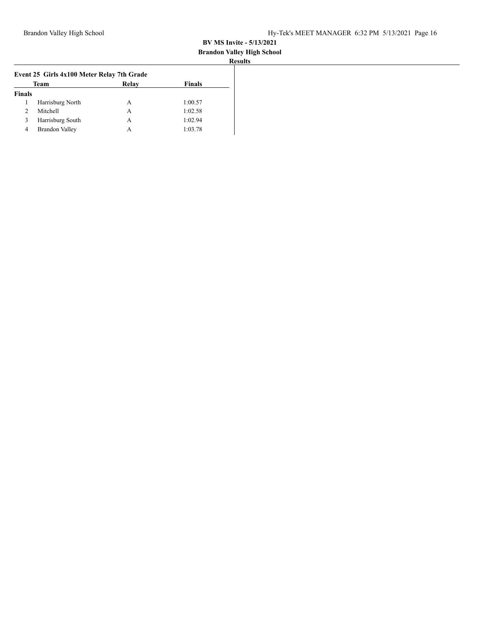#### **Brandon Valley High School Results**

|                                            |                       |       |               | . . |  |
|--------------------------------------------|-----------------------|-------|---------------|-----|--|
| Event 25 Girls 4x100 Meter Relay 7th Grade |                       |       |               |     |  |
|                                            | Team                  | Relay | <b>Finals</b> |     |  |
| <b>Finals</b>                              |                       |       |               |     |  |
|                                            | Harrisburg North      | А     | 1:00.57       |     |  |
| 2                                          | Mitchell              | A     | 1:02.58       |     |  |
| 3                                          | Harrisburg South      | А     | 1:02.94       |     |  |
| 4                                          | <b>Brandon Valley</b> | А     | 1:03.78       |     |  |
|                                            |                       |       |               |     |  |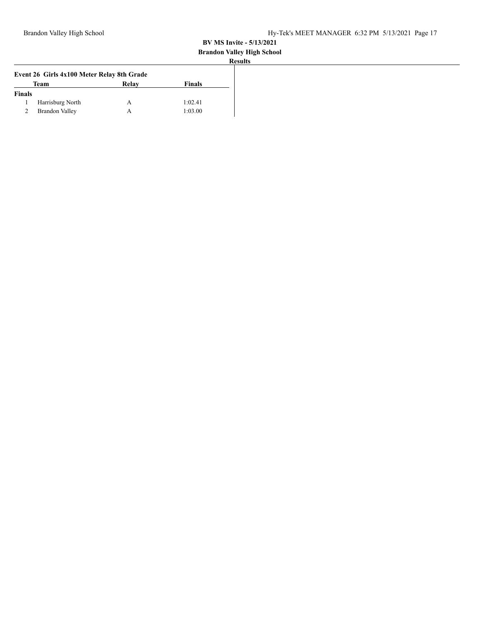# **Brandon Valley High School**

| <b>Results</b> |
|----------------|

| Event 26 Girls 4x100 Meter Relay 8th Grade |                       |       |               |  |  |
|--------------------------------------------|-----------------------|-------|---------------|--|--|
|                                            | Team                  | Relay | <b>Finals</b> |  |  |
| <b>Finals</b>                              |                       |       |               |  |  |
|                                            | Harrisburg North      | A     | 1:02.41       |  |  |
|                                            | <b>Brandon Valley</b> | А     | 1:03.00       |  |  |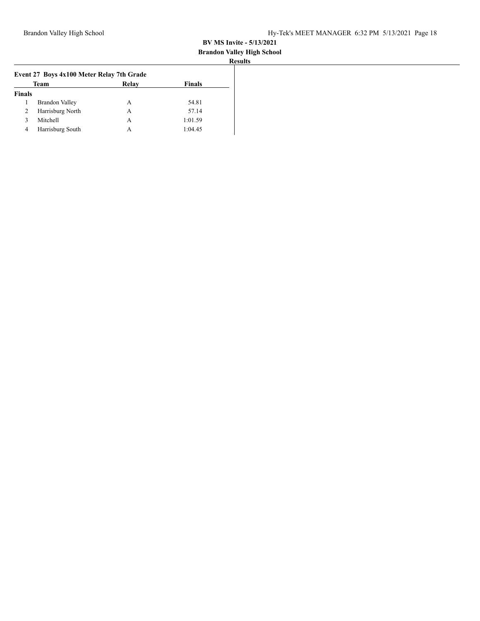#### **Brandon Valley High School Results**

| Team                  | Relay | <b>Finals</b>                             |  |
|-----------------------|-------|-------------------------------------------|--|
|                       |       |                                           |  |
| <b>Brandon Valley</b> | А     | 54.81                                     |  |
| Harrisburg North      | А     | 57.14                                     |  |
| Mitchell              | А     | 1:01.59                                   |  |
| Harrisburg South      | А     | 1:04.45                                   |  |
|                       |       | Event 27 Boys 4x100 Meter Relay 7th Grade |  |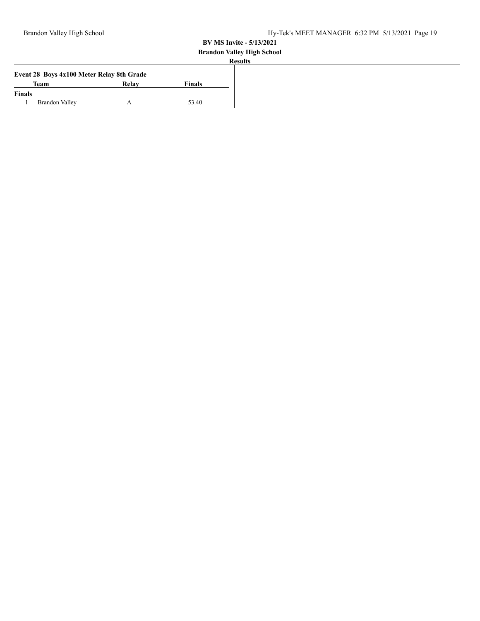## **Brandon Valley High School**

|               |                                           |       |               | <b>Results</b> |
|---------------|-------------------------------------------|-------|---------------|----------------|
|               | Event 28 Boys 4x100 Meter Relay 8th Grade |       |               |                |
|               | Team                                      | Relay | <b>Finals</b> |                |
| <b>Finals</b> |                                           |       |               |                |
|               | <b>Brandon Valley</b>                     |       | 53.40         |                |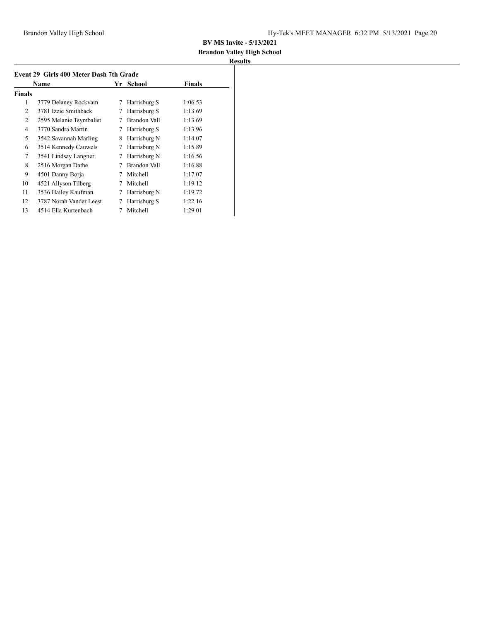# **Brandon Valley High School**

| <b>Finals</b><br><b>Name</b><br>School<br>Yr |                         |   |              |         |
|----------------------------------------------|-------------------------|---|--------------|---------|
| <b>Finals</b>                                |                         |   |              |         |
| 1                                            | 3779 Delaney Rockvam    | 7 | Harrisburg S | 1:06.53 |
| 2                                            | 3781 Izzie Smithback    | 7 | Harrisburg S | 1:13.69 |
| $\overline{2}$                               | 2595 Melanie Tsymbalist | 7 | Brandon Vall | 1:13.69 |
| 4                                            | 3770 Sandra Martin      | 7 | Harrisburg S | 1:13.96 |
| 5                                            | 3542 Savannah Marling   | 8 | Harrisburg N | 1:14.07 |
| 6                                            | 3514 Kennedy Cauwels    | 7 | Harrisburg N | 1:15.89 |
| 7                                            | 3541 Lindsay Langner    | 7 | Harrisburg N | 1:16.56 |
| 8                                            | 2516 Morgan Dathe       | 7 | Brandon Vall | 1:16.88 |
| 9                                            | 4501 Danny Borja        | 7 | Mitchell     | 1:17.07 |
| 10                                           | 4521 Allyson Tilberg    | 7 | Mitchell     | 1:19.12 |
| 11                                           | 3536 Hailey Kaufman     | 7 | Harrisburg N | 1:19.72 |
| 12                                           | 3787 Norah Vander Leest | 7 | Harrisburg S | 1:22.16 |
| 13                                           | 4514 Ella Kurtenbach    |   | Mitchell     | 1:29.01 |
|                                              |                         |   |              |         |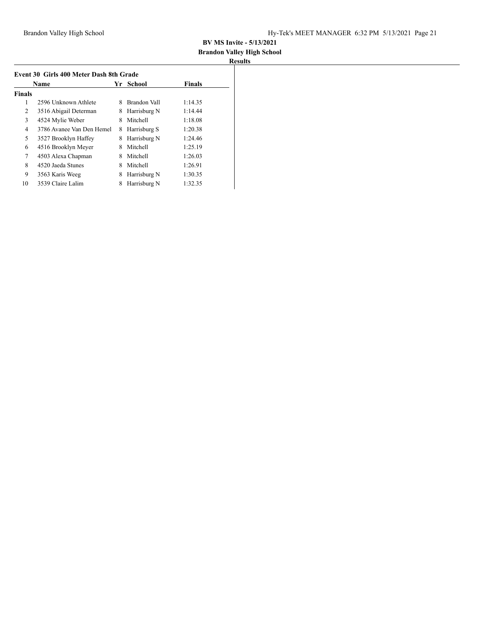## **Brandon Valley High School**

| Event 30 Girls 400 Meter Dash 8th Grade |                           |    |              |               |  |
|-----------------------------------------|---------------------------|----|--------------|---------------|--|
|                                         | Name                      | Yr | School       | <b>Finals</b> |  |
| <b>Finals</b>                           |                           |    |              |               |  |
| 1                                       | 2596 Unknown Athlete      | 8  | Brandon Vall | 1:14.35       |  |
| 2                                       | 3516 Abigail Determan     | 8  | Harrisburg N | 1:14.44       |  |
| 3                                       | 4524 Mylie Weber          | 8  | Mitchell     | 1:18.08       |  |
| 4                                       | 3786 Avanee Van Den Hemel | 8  | Harrisburg S | 1:20.38       |  |
| 5                                       | 3527 Brooklyn Haffey      | 8  | Harrisburg N | 1:24.46       |  |
| 6                                       | 4516 Brooklyn Meyer       | 8  | Mitchell     | 1:25.19       |  |
| 7                                       | 4503 Alexa Chapman        | 8  | Mitchell     | 1:26.03       |  |
| 8                                       | 4520 Jaeda Stunes         | 8  | Mitchell     | 1:26.91       |  |
| 9                                       | 3563 Karis Weeg           | 8  | Harrisburg N | 1:30.35       |  |
| 10                                      | 3539 Claire Lalim         | 8  | Harrisburg N | 1:32.35       |  |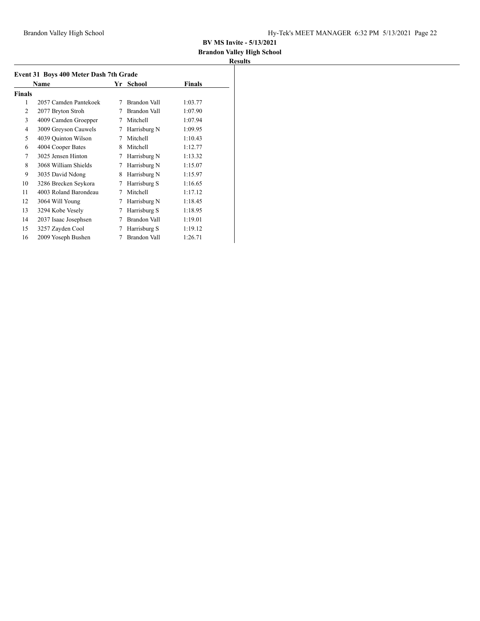## **Brandon Valley High School**

|                | Name                  | Yr | <b>School</b> | Finals  |
|----------------|-----------------------|----|---------------|---------|
| Finals         |                       |    |               |         |
| 1              | 2057 Camden Pantekoek | 7  | Brandon Vall  | 1:03.77 |
| $\mathfrak{D}$ | 2077 Bryton Stroh     | 7  | Brandon Vall  | 1:07.90 |
| 3              | 4009 Camden Groepper  | 7  | Mitchell      | 1:07.94 |
| $\overline{4}$ | 3009 Greyson Cauwels  | 7  | Harrisburg N  | 1:09.95 |
| 5              | 4039 Ouinton Wilson   | 7  | Mitchell      | 1:10.43 |
| 6              | 4004 Cooper Bates     | 8  | Mitchell      | 1:12.77 |
| 7              | 3025 Jensen Hinton    | 7  | Harrisburg N  | 1:13.32 |
| 8              | 3068 William Shields  | 7  | Harrisburg N  | 1:15.07 |
| 9              | 3035 David Ndong      | 8  | Harrisburg N  | 1:15.97 |
| 10             | 3286 Brecken Seykora  | 7  | Harrisburg S  | 1:16.65 |
| 11             | 4003 Roland Barondeau | 7  | Mitchell      | 1:17.12 |
| 12             | 3064 Will Young       | 7  | Harrisburg N  | 1:18.45 |
| 13             | 3294 Kobe Vesely      | 7  | Harrisburg S  | 1:18.95 |
| 14             | 2037 Isaac Josephsen  | 7  | Brandon Vall  | 1:19.01 |
| 15             | 3257 Zayden Cool      | 7  | Harrisburg S  | 1:19.12 |
| 16             | 2009 Yoseph Bushen    | 7  | Brandon Vall  | 1:26.71 |
|                |                       |    |               |         |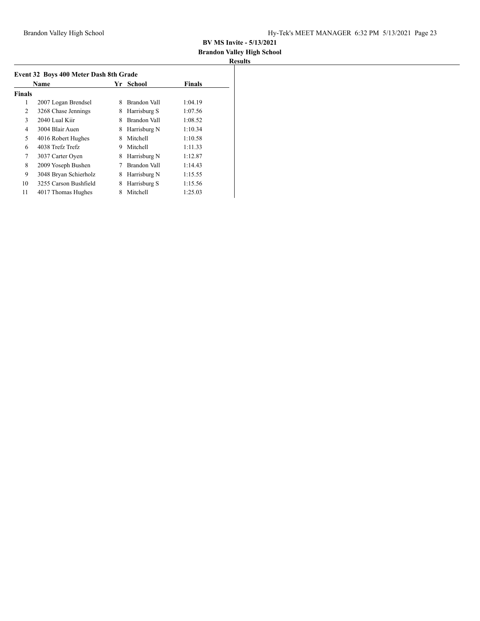## **Brandon Valley High School**

| <b>Name</b>    |                       | Yr. | School       | <b>Finals</b> |
|----------------|-----------------------|-----|--------------|---------------|
| <b>Finals</b>  |                       |     |              |               |
| 1              | 2007 Logan Brendsel   | 8   | Brandon Vall | 1:04.19       |
| 2              | 3268 Chase Jennings   | 8   | Harrisburg S | 1:07.56       |
| 3              | 2040 Lual Kiir        | 8   | Brandon Vall | 1:08.52       |
| $\overline{4}$ | 3004 Blair Auen       | 8   | Harrisburg N | 1:10.34       |
| 5              | 4016 Robert Hughes    | 8   | Mitchell     | 1:10.58       |
| 6              | 4038 Trefz Trefz      | 9   | Mitchell     | 1:11.33       |
| 7              | 3037 Carter Oyen      | 8   | Harrisburg N | 1:12.87       |
| 8              | 2009 Yoseph Bushen    |     | Brandon Vall | 1:14.43       |
| 9              | 3048 Bryan Schierholz | 8   | Harrisburg N | 1:15.55       |
| 10             | 3255 Carson Bushfield | 8   | Harrisburg S | 1:15.56       |
| 11             | 4017 Thomas Hughes    | 8   | Mitchell     | 1:25.03       |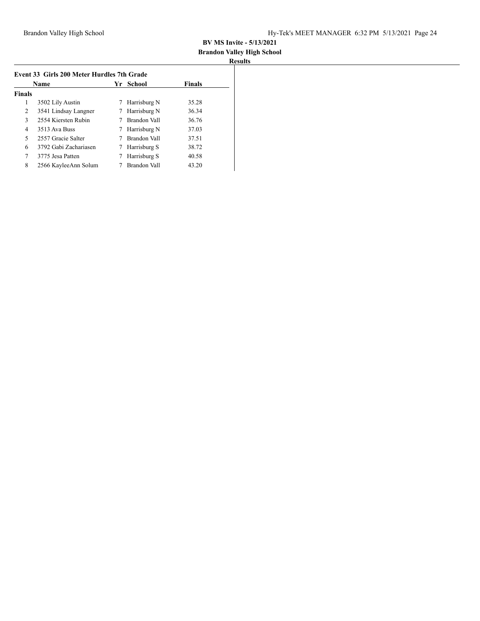# **Brandon Valley High School**

| Results |
|---------|
|---------|

| <b>Name</b>   |                       | - School<br>Yr. |              | <b>Finals</b> |
|---------------|-----------------------|-----------------|--------------|---------------|
| <b>Finals</b> |                       |                 |              |               |
| 1             | 3502 Lily Austin      | 7               | Harrisburg N | 35.28         |
| 2             | 3541 Lindsay Langner  | 7               | Harrisburg N | 36.34         |
| 3             | 2554 Kiersten Rubin   |                 | Brandon Vall | 36.76         |
| 4             | 3513 Ava Buss         |                 | Harrisburg N | 37.03         |
| 5             | 2557 Gracie Salter    |                 | Brandon Vall | 37.51         |
| 6             | 3792 Gabi Zachariasen |                 | Harrisburg S | 38.72         |
| 7             | 3775 Jesa Patten      |                 | Harrisburg S | 40.58         |
| 8             | 2566 KayleeAnn Solum  |                 | Brandon Vall | 43.20         |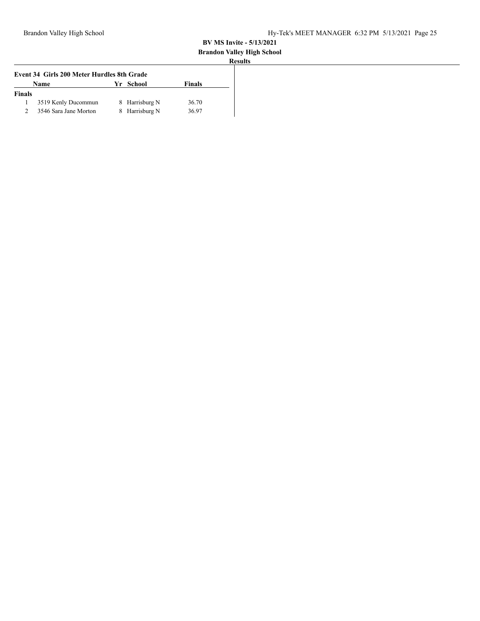#### **Brandon Valley High School**

|               | Event 34 Girls 200 Meter Hurdles 8th Grade |    |                |        |
|---------------|--------------------------------------------|----|----------------|--------|
|               | <b>Name</b>                                | Уr | School         | Finals |
| <b>Finals</b> |                                            |    |                |        |
|               | 3519 Kenly Ducommun                        |    | 8 Harrisburg N | 36.70  |
|               | 3546 Sara Jane Morton                      | 8. | Harrisburg N   | 36.97  |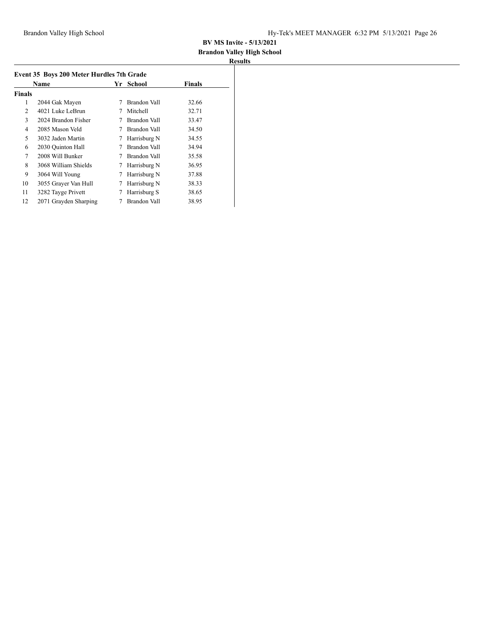# **Brandon Valley High School**

|               | Name                  | Yr. | School       | Finals |
|---------------|-----------------------|-----|--------------|--------|
| <b>Finals</b> |                       |     |              |        |
| 1             | 2044 Gak Mayen        | 7   | Brandon Vall | 32.66  |
| 2             | 4021 Luke LeBrun      | 7   | Mitchell     | 32.71  |
| 3             | 2024 Brandon Fisher   |     | Brandon Vall | 33.47  |
| 4             | 2085 Mason Veld       | 7   | Brandon Vall | 34.50  |
| 5             | 3032 Jaden Martin     | 7   | Harrisburg N | 34.55  |
| 6             | 2030 Ouinton Hall     |     | Brandon Vall | 34.94  |
| 7             | 2008 Will Bunker      | 7   | Brandon Vall | 35.58  |
| 8             | 3068 William Shields  | 7   | Harrisburg N | 36.95  |
| 9             | 3064 Will Young       | 7   | Harrisburg N | 37.88  |
| 10            | 3055 Grayer Van Hull  | 7   | Harrisburg N | 38.33  |
| 11            | 3282 Tayge Privett    | 7   | Harrisburg S | 38.65  |
| 12            | 2071 Grayden Sharping |     | Brandon Vall | 38.95  |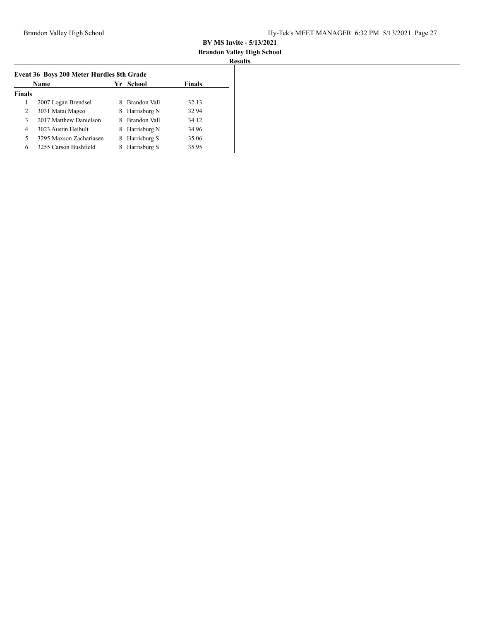#### **Brandon Valley High School Results**

| <b>Name</b>   |                         |   | Yr School    | Finals |
|---------------|-------------------------|---|--------------|--------|
| <b>Finals</b> |                         |   |              |        |
|               | 2007 Logan Brendsel     | 8 | Brandon Vall | 32.13  |
| 2             | 3031 Matai Mageo        | 8 | Harrisburg N | 32.94  |
| 3             | 2017 Matthew Danielson  | 8 | Brandon Vall | 34.12  |
| 4             | 3023 Austin Heibult     | 8 | Harrisburg N | 34.96  |
| 5             | 3295 Maxson Zachariasen | 8 | Harrisburg S | 35.06  |
| 6             | 3255 Carson Bushfield   |   | Harrisburg S | 35.95  |
|               |                         |   |              |        |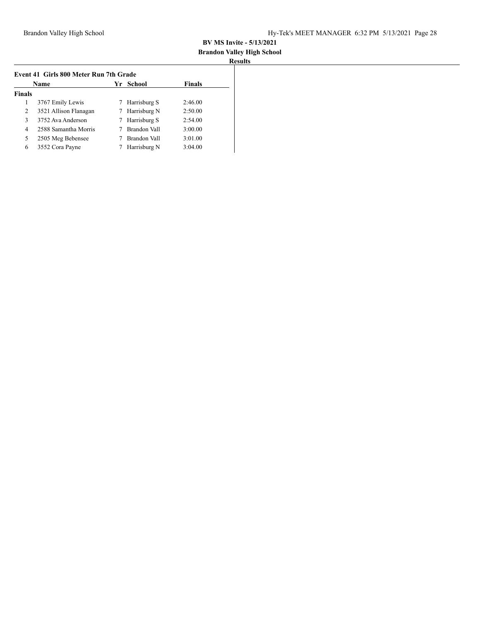# **Brandon Valley High School**

| Name          |                       |   | Yr School    | <b>Finals</b> |
|---------------|-----------------------|---|--------------|---------------|
| <b>Finals</b> |                       |   |              |               |
| 1             | 3767 Emily Lewis      | 7 | Harrisburg S | 2:46.00       |
| 2             | 3521 Allison Flanagan | 7 | Harrisburg N | 2:50.00       |
| 3             | 3752 Ava Anderson     | 7 | Harrisburg S | 2:54.00       |
| 4             | 2588 Samantha Morris  |   | Brandon Vall | 3:00.00       |
| 5             | 2505 Meg Bebensee     |   | Brandon Vall | 3:01.00       |
| 6             | 3552 Cora Payne       |   | Harrisburg N | 3:04.00       |
|               |                       |   |              |               |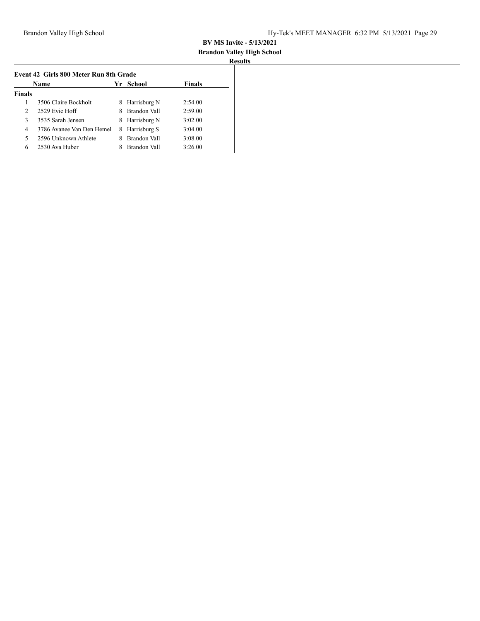# **Brandon Valley High School**

| Name          |                           |    | Yr School    | <b>Finals</b> |
|---------------|---------------------------|----|--------------|---------------|
| <b>Finals</b> |                           |    |              |               |
|               | 3506 Claire Bockholt      | 8  | Harrisburg N | 2:54.00       |
| 2             | 2529 Evie Hoff            | 8  | Brandon Vall | 2:59.00       |
| 3             | 3535 Sarah Jensen         | 8. | Harrisburg N | 3:02.00       |
| 4             | 3786 Avanee Van Den Hemel | 8  | Harrisburg S | 3:04.00       |
| 5             | 2596 Unknown Athlete      |    | Brandon Vall | 3:08.00       |
| 6             | 2530 Ava Huber            |    | Brandon Vall | 3:26.00       |
|               |                           |    |              |               |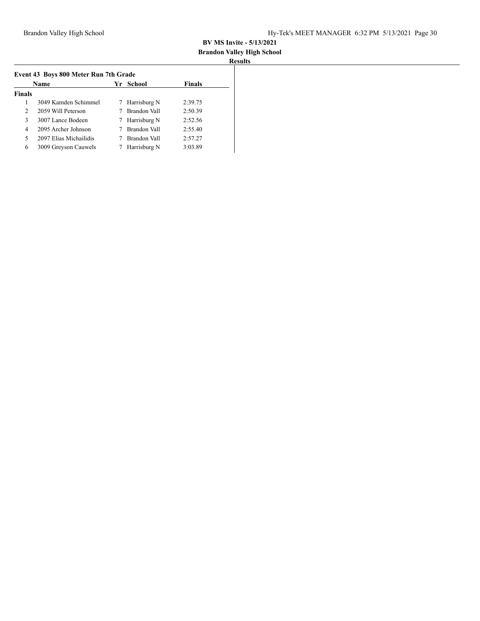#### **Brandon Valley High School Results**

| ı<br>ı |  |
|--------|--|
|        |  |

| Name          |                        |    | Yr School    | Finals  |
|---------------|------------------------|----|--------------|---------|
| <b>Finals</b> |                        |    |              |         |
|               | 3049 Kamden Schimmel   | 7  | Harrisburg N | 2:39.75 |
| 2             | 2059 Will Peterson     |    | Brandon Vall | 2:50.39 |
| 3             | 3007 Lance Bodeen      | 7. | Harrisburg N | 2:52.56 |
| 4             | 2095 Archer Johnson    |    | Brandon Vall | 2:55.40 |
| 5             | 2097 Elias Michailidis |    | Brandon Vall | 2:57.27 |
| 6             | 3009 Greyson Cauwels   |    | Harrisburg N | 3:03.89 |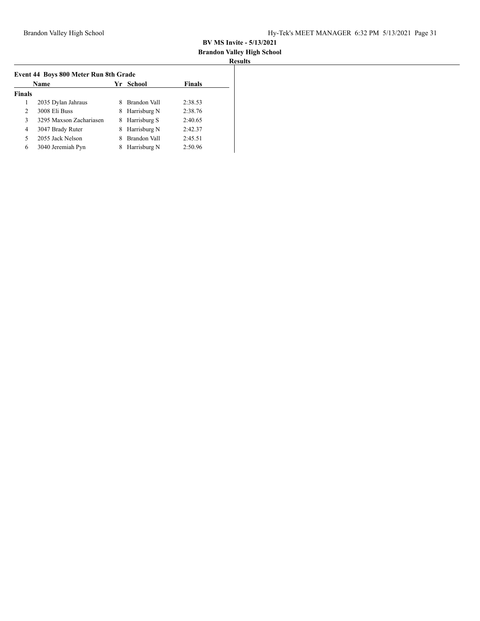## **Brandon Valley High School**

| <b>Name</b>   |                         |   | Yr School    | <b>Finals</b> |
|---------------|-------------------------|---|--------------|---------------|
| <b>Finals</b> |                         |   |              |               |
| 1             | 2035 Dylan Jahraus      | 8 | Brandon Vall | 2:38.53       |
| 2             | 3008 Eli Buss           | 8 | Harrisburg N | 2:38.76       |
| 3             | 3295 Maxson Zachariasen | 8 | Harrisburg S | 2:40.65       |
| 4             | 3047 Brady Ruter        | 8 | Harrisburg N | 2:42.37       |
| 5             | 2055 Jack Nelson        |   | Brandon Vall | 2:45.51       |
| 6             | 3040 Jeremiah Pyn       |   | Harrisburg N | 2:50.96       |
|               |                         |   |              |               |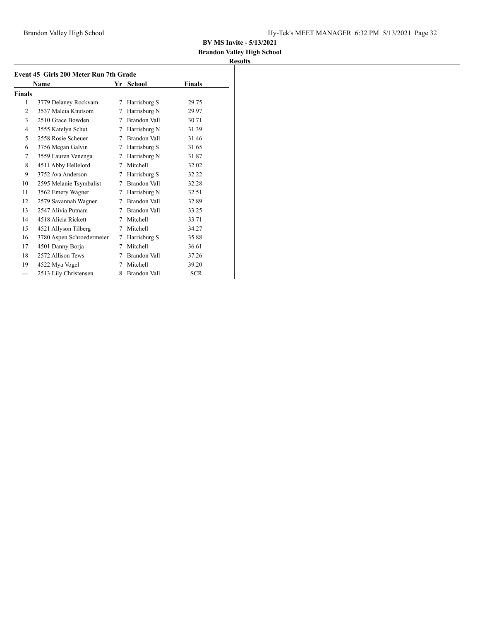## **Brandon Valley High School**

| Event 45 Girls 200 Meter Run 7th Grade |                           |   |                     |            |  |
|----------------------------------------|---------------------------|---|---------------------|------------|--|
|                                        | Name                      |   | Yr<br>School        | Finals     |  |
| <b>Finals</b>                          |                           |   |                     |            |  |
| 1                                      | 3779 Delaney Rockvam      | 7 | Harrisburg S        | 29.75      |  |
| 2                                      | 3537 Maleja Knutsom       | 7 | Harrisburg N        | 29.97      |  |
| 3                                      | 2510 Grace Bowden         | 7 | Brandon Vall        | 30.71      |  |
| 4                                      | 3555 Katelyn Schut        | 7 | Harrisburg N        | 31.39      |  |
| 5                                      | 2558 Rosie Scheuer        | 7 | Brandon Vall        | 31.46      |  |
| 6                                      | 3756 Megan Galvin         | 7 | Harrisburg S        | 31.65      |  |
| 7                                      | 3559 Lauren Venenga       | 7 | Harrisburg N        | 31.87      |  |
| 8                                      | 4511 Abby Hellelord       | 7 | Mitchell            | 32.02      |  |
| 9                                      | 3752 Ava Anderson         | 7 | Harrisburg S        | 32.22      |  |
| 10                                     | 2595 Melanie Tsymbalist   | 7 | <b>Brandon Vall</b> | 32.28      |  |
| 11                                     | 3562 Emery Wagner         | 7 | Harrisburg N        | 32.51      |  |
| 12                                     | 2579 Savannah Wagner      | 7 | Brandon Vall        | 32.89      |  |
| 13                                     | 2547 Alivia Putnam        | 7 | Brandon Vall        | 33.25      |  |
| 14                                     | 4518 Alicia Rickett       | 7 | Mitchell            | 33.71      |  |
| 15                                     | 4521 Allyson Tilberg      | 7 | Mitchell            | 34.27      |  |
| 16                                     | 3780 Aspen Schroedermeier | 7 | Harrisburg S        | 35.88      |  |
| 17                                     | 4501 Danny Borja          | 7 | Mitchell            | 36.61      |  |
| 18                                     | 2572 Allison Tews         | 7 | Brandon Vall        | 37.26      |  |
| 19                                     | 4522 Mya Vogel            | 7 | Mitchell            | 39.20      |  |
| ---                                    | 2513 Lily Christensen     | 8 | <b>Brandon Vall</b> | <b>SCR</b> |  |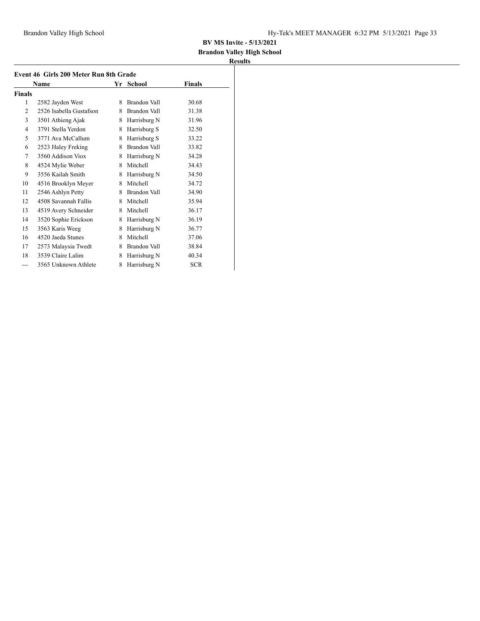## **Brandon Valley High School**

| Event 46 Girls 200 Meter Run 8th Grade |                         |   |              |            |  |  |
|----------------------------------------|-------------------------|---|--------------|------------|--|--|
|                                        | Name                    |   | Yr School    | Finals     |  |  |
| <b>Finals</b>                          |                         |   |              |            |  |  |
| 1                                      | 2582 Jayden West        | 8 | Brandon Vall | 30.68      |  |  |
| $\overline{2}$                         | 2526 Isabella Gustafson | 8 | Brandon Vall | 31.38      |  |  |
| 3                                      | 3501 Athieng Ajak       | 8 | Harrisburg N | 31.96      |  |  |
| $\overline{4}$                         | 3791 Stella Yerdon      | 8 | Harrisburg S | 32.50      |  |  |
| 5                                      | 3771 Ava McCallum       | 8 | Harrisburg S | 33.22      |  |  |
| 6                                      | 2523 Haley Freking      | 8 | Brandon Vall | 33.82      |  |  |
| 7                                      | 3560 Addison Viox       | 8 | Harrisburg N | 34.28      |  |  |
| 8                                      | 4524 Mylie Weber        | 8 | Mitchell     | 34.43      |  |  |
| 9                                      | 3556 Kailah Smith       | 8 | Harrisburg N | 34.50      |  |  |
| 10                                     | 4516 Brooklyn Meyer     | 8 | Mitchell     | 34.72      |  |  |
| 11                                     | 2546 Ashlyn Petty       | 8 | Brandon Vall | 34.90      |  |  |
| 12                                     | 4508 Savannah Fallis    | 8 | Mitchell     | 35.94      |  |  |
| 13                                     | 4519 Avery Schneider    | 8 | Mitchell     | 36.17      |  |  |
| 14                                     | 3520 Sophie Erickson    | 8 | Harrisburg N | 36.19      |  |  |
| 15                                     | 3563 Karis Weeg         | 8 | Harrisburg N | 36.77      |  |  |
| 16                                     | 4520 Jaeda Stunes       | 8 | Mitchell     | 37.06      |  |  |
| 17                                     | 2573 Malaysia Twedt     | 8 | Brandon Vall | 38.84      |  |  |
| 18                                     | 3539 Claire Lalim       | 8 | Harrisburg N | 40.34      |  |  |
| ---                                    | 3565 Unknown Athlete    | 8 | Harrisburg N | <b>SCR</b> |  |  |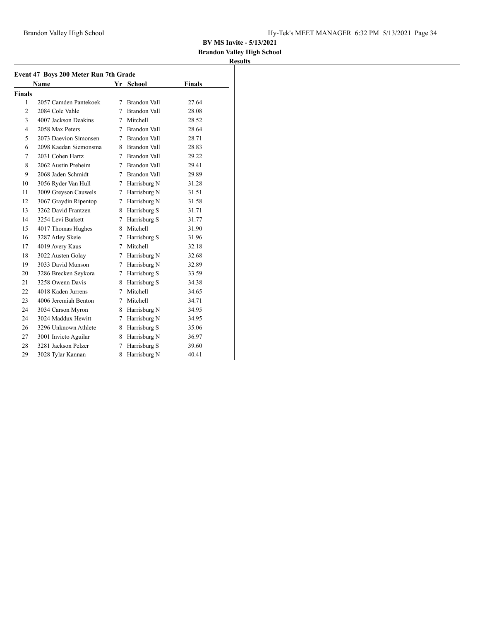## **Brandon Valley High School**

|                | Event 47 Boys 200 Meter Run 7th Grade<br><b>Name</b> |    | Yr School      | <b>Finals</b> |
|----------------|------------------------------------------------------|----|----------------|---------------|
| <b>Finals</b>  |                                                      |    |                |               |
| 1              | 2057 Camden Pantekoek                                | 7  | Brandon Vall   | 27.64         |
| 2              | 2084 Cole Vahle                                      |    | 7 Brandon Vall | 28.08         |
| 3              | 4007 Jackson Deakins                                 |    | 7 Mitchell     | 28.52         |
| $\overline{4}$ | 2058 Max Peters                                      |    | 7 Brandon Vall | 28.64         |
| 5              | 2073 Daevion Simonsen                                |    | 7 Brandon Vall | 28.71         |
| 6              | 2098 Kaedan Siemonsma                                |    | 8 Brandon Vall | 28.83         |
| 7              | 2031 Cohen Hartz                                     |    | 7 Brandon Vall | 29.22         |
| 8              | 2062 Austin Preheim                                  |    | 7 Brandon Vall | 29.41         |
| 9              | 2068 Jaden Schmidt                                   |    | 7 Brandon Vall | 29.89         |
| 10             | 3056 Ryder Van Hull                                  |    | 7 Harrisburg N | 31.28         |
| 11             | 3009 Greyson Cauwels                                 | 7  | Harrisburg N   | 31.51         |
| 12             | 3067 Graydin Ripentop                                | 7  | Harrisburg N   | 31.58         |
| 13             | 3262 David Frantzen                                  |    | 8 Harrisburg S | 31.71         |
| 14             | 3254 Levi Burkett                                    | 7  | Harrisburg S   | 31.77         |
| 15             | 4017 Thomas Hughes                                   | 8. | Mitchell       | 31.90         |
| 16             | 3287 Atley Skeie                                     |    | 7 Harrisburg S | 31.96         |
| 17             | 4019 Avery Kaus                                      | 7  | Mitchell       | 32.18         |
| 18             | 3022 Austen Golay                                    |    | 7 Harrisburg N | 32.68         |
| 19             | 3033 David Munson                                    |    | 7 Harrisburg N | 32.89         |
| 20             | 3286 Brecken Seykora                                 |    | 7 Harrisburg S | 33.59         |
| 21             | 3258 Owenn Davis                                     |    | 8 Harrisburg S | 34.38         |
| 22             | 4018 Kaden Jurrens                                   | 7  | Mitchell       | 34.65         |
| 23             | 4006 Jeremiah Benton                                 |    | 7 Mitchell     | 34.71         |
| 24             | 3034 Carson Myron                                    |    | 8 Harrisburg N | 34.95         |
| 24             | 3024 Maddux Hewitt                                   | 7  | Harrisburg N   | 34.95         |
| 26             | 3296 Unknown Athlete                                 |    | 8 Harrisburg S | 35.06         |
| 27             | 3001 Invicto Aguilar                                 |    | 8 Harrisburg N | 36.97         |
| 28             | 3281 Jackson Pelzer                                  | 7  | Harrisburg S   | 39.60         |
| 29             | 3028 Tylar Kannan                                    | 8  | Harrisburg N   | 40.41         |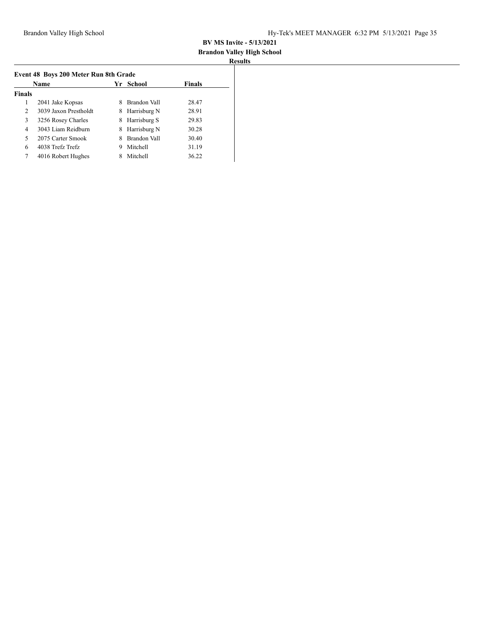#### **Brandon Valley High School Results**

| Ш |  |
|---|--|
|   |  |

|               | School<br>Name<br>Yr  |   | <b>Finals</b> |       |
|---------------|-----------------------|---|---------------|-------|
| <b>Finals</b> |                       |   |               |       |
| 1             | 2041 Jake Kopsas      | 8 | Brandon Vall  | 28.47 |
| 2             | 3039 Jaxon Prestholdt | 8 | Harrisburg N  | 28.91 |
| 3             | 3256 Rosey Charles    | 8 | Harrisburg S  | 29.83 |
| 4             | 3043 Liam Reidburn    | 8 | Harrisburg N  | 30.28 |
| 5             | 2075 Carter Smook     | 8 | Brandon Vall  | 30.40 |
| 6             | 4038 Trefz Trefz      | 9 | Mitchell      | 31.19 |
| 7             | 4016 Robert Hughes    |   | Mitchell      | 36.22 |
|               |                       |   |               |       |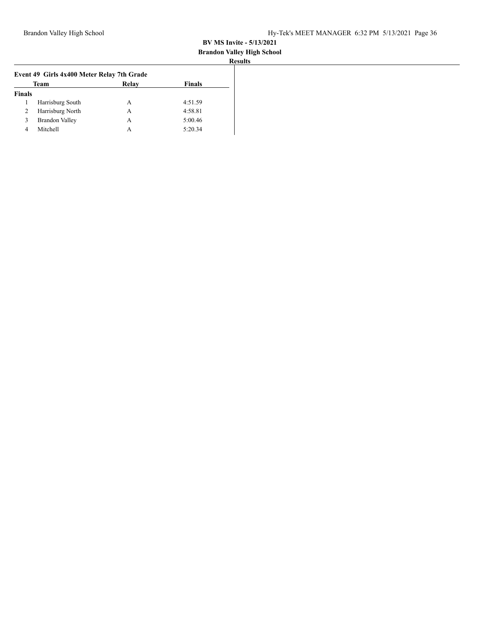#### **Brandon Valley High School Results**

|               | Event 49 Girls 4x400 Meter Relay 7th Grade |       |               |  |
|---------------|--------------------------------------------|-------|---------------|--|
|               | Team                                       | Relay | <b>Finals</b> |  |
| <b>Finals</b> |                                            |       |               |  |
|               | Harrisburg South                           | А     | 4:51.59       |  |
| 2             | Harrisburg North                           | А     | 4:58.81       |  |
| 3             | <b>Brandon Valley</b>                      | А     | 5:00.46       |  |
| 4             | Mitchell                                   | А     | 5:20.34       |  |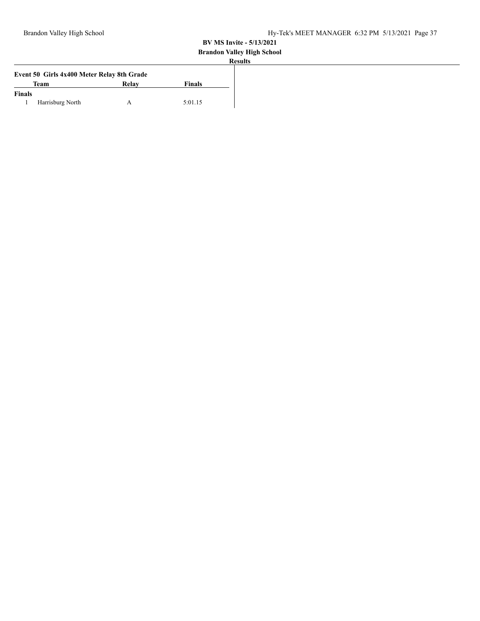# **Brandon Valley High School**

| Event 50 Girls 4x400 Meter Relay 8th Grade |                  |       |         |  |
|--------------------------------------------|------------------|-------|---------|--|
| Team                                       |                  | Relav | Finals  |  |
| <b>Finals</b>                              |                  |       |         |  |
|                                            | Harrisburg North |       | 5:01.15 |  |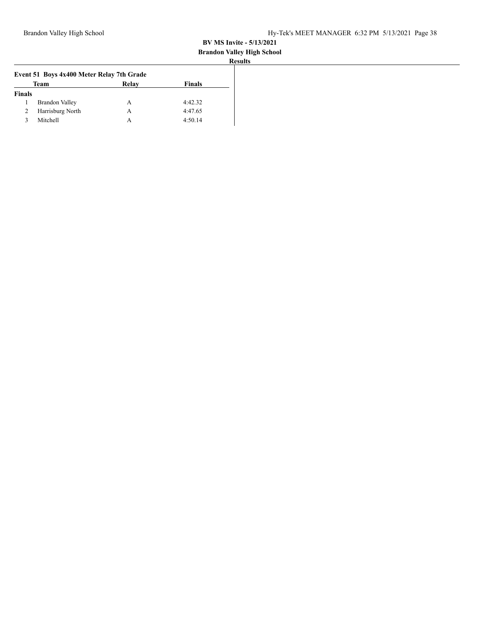#### **Brandon Valley High School Results**

|               | Event 51 Boys 4x400 Meter Relay 7th Grade |       |               |  |
|---------------|-------------------------------------------|-------|---------------|--|
|               | Team                                      | Relay | <b>Finals</b> |  |
| <b>Finals</b> |                                           |       |               |  |
|               | <b>Brandon Valley</b>                     | А     | 4:42.32       |  |
| 2             | Harrisburg North                          | А     | 4:47.65       |  |
| κ             | Mitchell                                  | А     | 4:50.14       |  |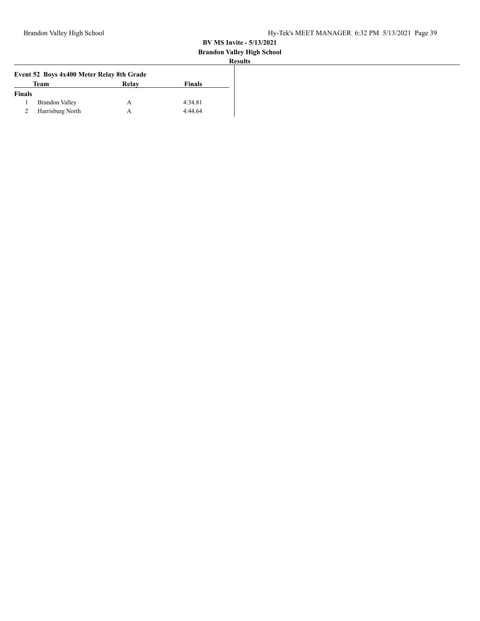#### **Brandon Valley High School**

|                                           |       |               | <b>Results</b> |
|-------------------------------------------|-------|---------------|----------------|
| Event 52 Boys 4x400 Meter Relay 8th Grade |       |               |                |
| Team                                      | Relav | <b>Finals</b> |                |
| <b>Finals</b>                             |       |               |                |
| Brandon Valley                            | А     | 4:34.81       |                |
| Harrisburg North                          |       | 4:44.64       |                |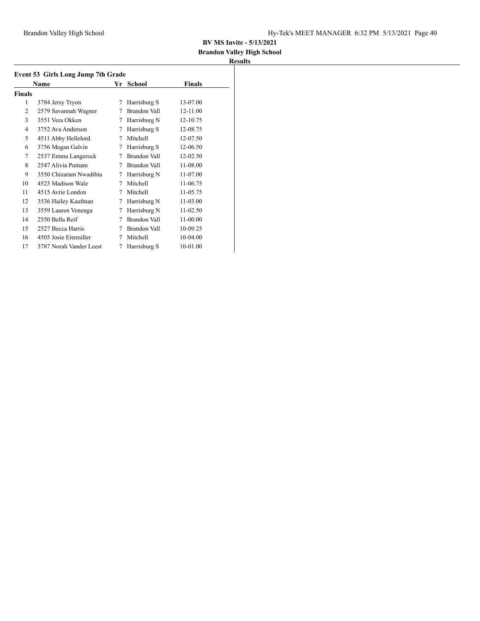## **Brandon Valley High School**

| Event 53 Girls Long Jump 7th Grade |                         |    |              |               |  |  |
|------------------------------------|-------------------------|----|--------------|---------------|--|--|
|                                    | Name                    | Yr | School       | <b>Finals</b> |  |  |
| <b>Finals</b>                      |                         |    |              |               |  |  |
| 1                                  | 3784 Jersy Tryon        | 7  | Harrisburg S | 13-07.00      |  |  |
| $\overline{c}$                     | 2579 Savannah Wagner    | 7  | Brandon Vall | 12-11.00      |  |  |
| 3                                  | 3551 Vera Okken         | 7  | Harrisburg N | 12-10.75      |  |  |
| 4                                  | 3752 Ava Anderson       | 7  | Harrisburg S | 12-08.75      |  |  |
| 5                                  | 4511 Abby Hellelord     | 7  | Mitchell     | 12-07.50      |  |  |
| 6                                  | 3756 Megan Galvin       | 7  | Harrisburg S | 12-06.50      |  |  |
| 7                                  | 2537 Emma Langerock     | 7  | Brandon Vall | 12-02.50      |  |  |
| 8                                  | 2547 Alivia Putnam      | 7  | Brandon Vall | 11-08.00      |  |  |
| 9                                  | 3550 Chizaram Nwadibia  | 7  | Harrisburg N | 11-07.00      |  |  |
| 10                                 | 4523 Madison Walz       | 7  | Mitchell     | 11-06.75      |  |  |
| 11                                 | 4515 Avrie London       | 7  | Mitchell     | 11-05.75      |  |  |
| 12                                 | 3536 Hailey Kaufman     | 7  | Harrisburg N | 11-03.00      |  |  |
| 13                                 | 3559 Lauren Venenga     | 7  | Harrisburg N | 11-02.50      |  |  |
| 14                                 | 2550 Bella Reif         | 7  | Brandon Vall | 11-00.00      |  |  |
| 15                                 | 2527 Becca Harris       | 7  | Brandon Vall | 10-09.25      |  |  |
| 16                                 | 4505 Josie Eitemiller   | 7  | Mitchell     | 10-04.00      |  |  |
| 17                                 | 3787 Norah Vander Leest | 7  | Harrisburg S | 10-01.00      |  |  |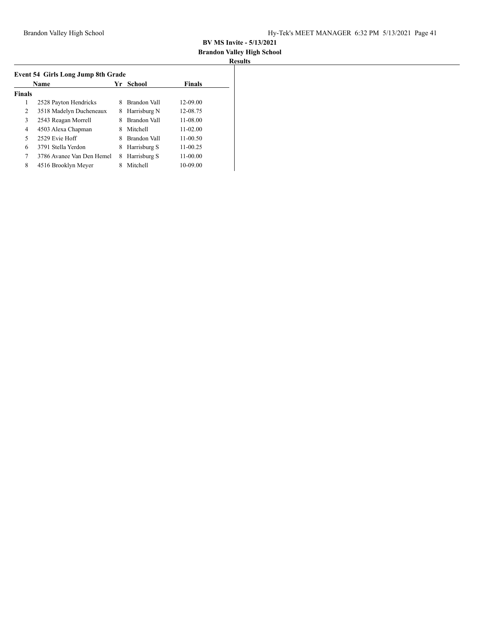## **Brandon Valley High School**

|               | Name                      |   | School       | <b>Finals</b> |
|---------------|---------------------------|---|--------------|---------------|
| <b>Finals</b> |                           |   |              |               |
| 1             | 2528 Payton Hendricks     | 8 | Brandon Vall | 12-09.00      |
| 2             | 3518 Madelyn Ducheneaux   | 8 | Harrisburg N | 12-08.75      |
| 3             | 2543 Reagan Morrell       | 8 | Brandon Vall | 11-08.00      |
| 4             | 4503 Alexa Chapman        | 8 | Mitchell     | $11 - 02.00$  |
| 5             | 2529 Evie Hoff            | 8 | Brandon Vall | $11-00.50$    |
| 6             | 3791 Stella Yerdon        | 8 | Harrisburg S | 11-00.25      |
| 7             | 3786 Avanee Van Den Hemel | 8 | Harrisburg S | 11-00.00      |
| 8             | 4516 Brooklyn Meyer       |   | Mitchell     | 10-09.00      |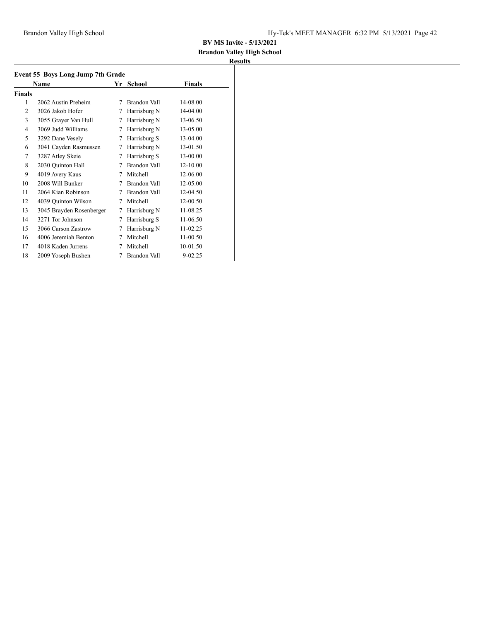## **Brandon Valley High School**

| Event 55 Boys Long Jump 7th Grade |                          |   |                     |               |  |  |
|-----------------------------------|--------------------------|---|---------------------|---------------|--|--|
|                                   | Name                     |   | Yr School           | <b>Finals</b> |  |  |
| <b>Finals</b>                     |                          |   |                     |               |  |  |
| 1                                 | 2062 Austin Preheim      | 7 | Brandon Vall        | 14-08.00      |  |  |
| $\overline{2}$                    | 3026 Jakob Hofer         | 7 | Harrisburg N        | 14-04.00      |  |  |
| 3                                 | 3055 Grayer Van Hull     | 7 | Harrisburg N        | 13-06.50      |  |  |
| $\overline{4}$                    | 3069 Judd Williams       | 7 | Harrisburg N        | 13-05.00      |  |  |
| 5                                 | 3292 Dane Vesely         | 7 | Harrisburg S        | 13-04.00      |  |  |
| 6                                 | 3041 Cayden Rasmussen    | 7 | Harrisburg N        | 13-01.50      |  |  |
| 7                                 | 3287 Atley Skeie         | 7 | Harrisburg S        | 13-00.00      |  |  |
| 8                                 | 2030 Ouinton Hall        | 7 | Brandon Vall        | 12-10.00      |  |  |
| 9                                 | 4019 Avery Kaus          | 7 | Mitchell            | 12-06.00      |  |  |
| 10                                | 2008 Will Bunker         | 7 | Brandon Vall        | 12-05.00      |  |  |
| 11                                | 2064 Kian Robinson       | 7 | <b>Brandon Vall</b> | 12-04.50      |  |  |
| 12                                | 4039 Quinton Wilson      | 7 | Mitchell            | 12-00.50      |  |  |
| 13                                | 3045 Brayden Rosenberger | 7 | Harrisburg N        | 11-08.25      |  |  |
| 14                                | 3271 Tor Johnson         | 7 | Harrisburg S        | 11-06.50      |  |  |
| 15                                | 3066 Carson Zastrow      | 7 | Harrisburg N        | 11-02.25      |  |  |
| 16                                | 4006 Jeremiah Benton     | 7 | Mitchell            | 11-00.50      |  |  |
| 17                                | 4018 Kaden Jurrens       | 7 | Mitchell            | 10-01.50      |  |  |
| 18                                | 2009 Yoseph Bushen       | 7 | Brandon Vall        | $9 - 02.25$   |  |  |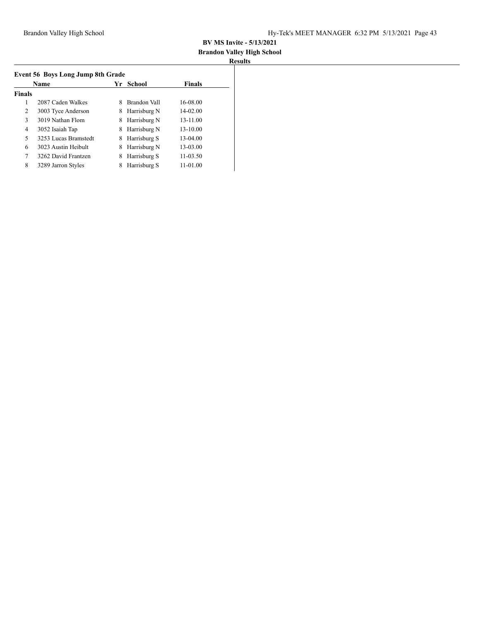## **Brandon Valley High School**

|               | Name                 | Yr | School       | <b>Finals</b> |
|---------------|----------------------|----|--------------|---------------|
| <b>Finals</b> |                      |    |              |               |
| 1             | 2087 Caden Walkes    | 8  | Brandon Vall | 16-08.00      |
| 2             | 3003 Tyce Anderson   | 8  | Harrisburg N | 14-02.00      |
| 3             | 3019 Nathan Flom     | 8  | Harrisburg N | 13-11.00      |
| 4             | 3052 Isaiah Tap      | 8  | Harrisburg N | 13-10.00      |
| 5             | 3253 Lucas Bramstedt | 8  | Harrisburg S | $13-04.00$    |
| 6             | 3023 Austin Heibult  | 8  | Harrisburg N | 13-03.00      |
| 7             | 3262 David Frantzen  | 8  | Harrisburg S | 11-03.50      |
| 8             | 3289 Jarron Styles   | 8  | Harrisburg S | $11-01.00$    |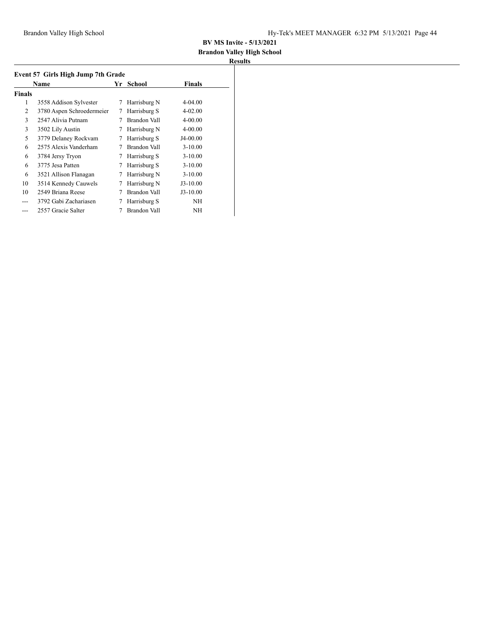## **Brandon Valley High School**

| Event 57 Girls High Jump 7th Grade |                           |    |              |               |  |  |
|------------------------------------|---------------------------|----|--------------|---------------|--|--|
|                                    | Name                      | Yr | School       | <b>Finals</b> |  |  |
| <b>Finals</b>                      |                           |    |              |               |  |  |
| 1                                  | 3558 Addison Sylvester    | 7  | Harrisburg N | 4-04.00       |  |  |
| 2                                  | 3780 Aspen Schroedermeier | 7  | Harrisburg S | 4-02.00       |  |  |
| 3                                  | 2547 Alivia Putnam        |    | Brandon Vall | 4-00.00       |  |  |
| 3                                  | 3502 Lily Austin          | 7  | Harrisburg N | 4-00.00       |  |  |
| 5                                  | 3779 Delaney Rockvam      | 7  | Harrisburg S | J4-00.00      |  |  |
| 6                                  | 2575 Alexis Vanderham     |    | Brandon Vall | $3 - 10.00$   |  |  |
| 6                                  | 3784 Jersy Tryon          | 7  | Harrisburg S | $3 - 10.00$   |  |  |
| 6                                  | 3775 Jesa Patten          | 7  | Harrisburg S | $3 - 10.00$   |  |  |
| 6                                  | 3521 Allison Flanagan     | 7  | Harrisburg N | $3 - 10.00$   |  |  |
| 10                                 | 3514 Kennedy Cauwels      | 7  | Harrisburg N | $J3-10.00$    |  |  |
| 10                                 | 2549 Briana Reese         |    | Brandon Vall | $J3-10.00$    |  |  |
|                                    | 3792 Gabi Zachariasen     |    | Harrisburg S | NΗ            |  |  |
|                                    | 2557 Gracie Salter        |    | Brandon Vall | NH            |  |  |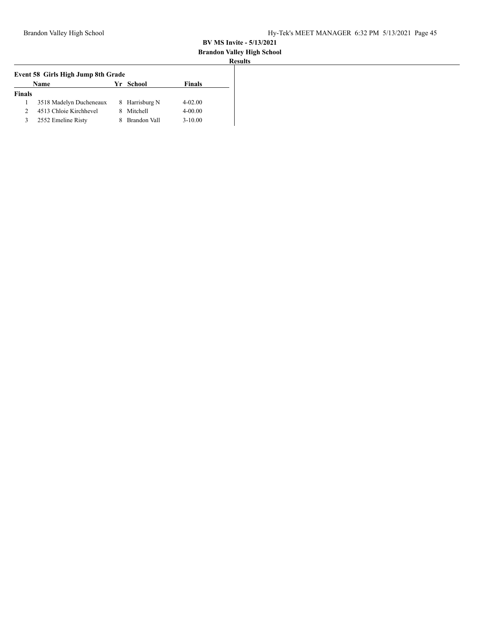# **Brandon Valley High School**

| Event 58 Girls High Jump 8th Grade |                         |  |                     |               |  |  |
|------------------------------------|-------------------------|--|---------------------|---------------|--|--|
|                                    | Name                    |  | Yr School           | <b>Finals</b> |  |  |
| <b>Finals</b>                      |                         |  |                     |               |  |  |
|                                    | 3518 Madelyn Ducheneaux |  | 8 Harrisburg N      | $4 - 02.00$   |  |  |
|                                    | 4513 Chloie Kirchhevel  |  | Mitchell            | $4 - 00.00$   |  |  |
| 3                                  | 2552 Emeline Risty      |  | <b>Brandon Vall</b> | $3 - 10.00$   |  |  |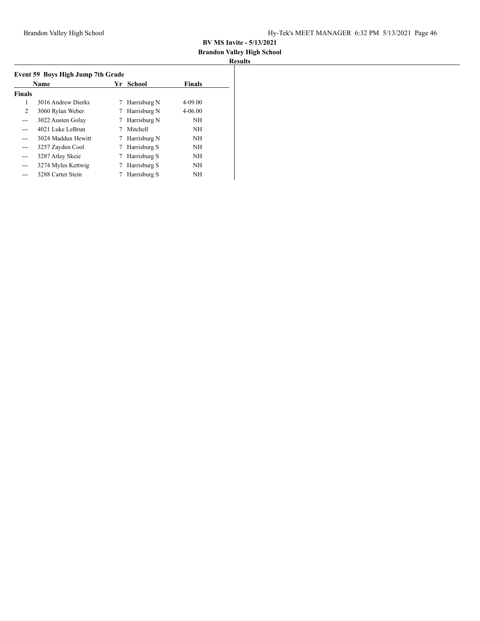# **Brandon Valley High School**

| Event 59 Boys High Jump 7th Grade |                    |   |              |               |  |  |
|-----------------------------------|--------------------|---|--------------|---------------|--|--|
| <b>Name</b>                       |                    |   | Yr School    | <b>Finals</b> |  |  |
| <b>Finals</b>                     |                    |   |              |               |  |  |
| 1                                 | 3016 Andrew Dierks | 7 | Harrisburg N | $4 - 09.00$   |  |  |
| 2                                 | 3060 Rylan Weber   | 7 | Harrisburg N | $4 - 06.00$   |  |  |
| $- - -$                           | 3022 Austen Golay  | 7 | Harrisburg N | <b>NH</b>     |  |  |
| ---                               | 4021 Luke LeBrun   |   | Mitchell     | <b>NH</b>     |  |  |
| ---                               | 3024 Maddux Hewitt |   | Harrisburg N | NH            |  |  |
| $- - -$                           | 3257 Zayden Cool   |   | Harrisburg S | <b>NH</b>     |  |  |
| ---                               | 3287 Atley Skeie   |   | Harrisburg S | <b>NH</b>     |  |  |
| $---$                             | 3274 Myles Kettwig |   | Harrisburg S | <b>NH</b>     |  |  |
| ---                               | 3288 Carter Stein  |   | Harrisburg S | NH            |  |  |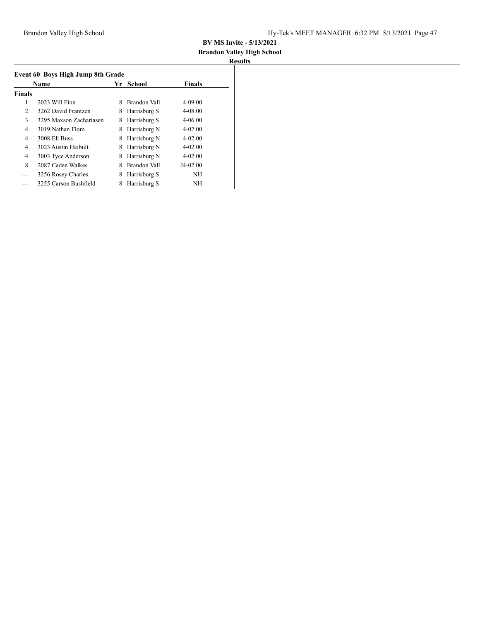# **Brandon Valley High School**

| Event 60 Boys High Jump 8th Grade |                         |    |              |               |  |  |
|-----------------------------------|-------------------------|----|--------------|---------------|--|--|
|                                   | Name                    | Yr | School       | <b>Finals</b> |  |  |
| <b>Finals</b>                     |                         |    |              |               |  |  |
| 1                                 | 2023 Will Finn          | 8  | Brandon Vall | $4 - 09.00$   |  |  |
| 2                                 | 3262 David Frantzen     | 8  | Harrisburg S | 4-08.00       |  |  |
| 3                                 | 3295 Maxson Zachariasen | 8  | Harrisburg S | $4 - 06.00$   |  |  |
| 4                                 | 3019 Nathan Flom        | 8  | Harrisburg N | $4 - 02.00$   |  |  |
| 4                                 | 3008 Eli Buss           | 8  | Harrisburg N | $4 - 02.00$   |  |  |
| 4                                 | 3023 Austin Heibult     | 8  | Harrisburg N | $4 - 02.00$   |  |  |
| 4                                 | 3003 Tyce Anderson      | 8  | Harrisburg N | $4 - 02.00$   |  |  |
| 8                                 | 2087 Caden Walkes       | 8  | Brandon Vall | $J4-02.00$    |  |  |
| ---                               | 3256 Rosey Charles      | 8  | Harrisburg S | NΗ            |  |  |
|                                   | 3255 Carson Bushfield   | 8  | Harrisburg S | NH            |  |  |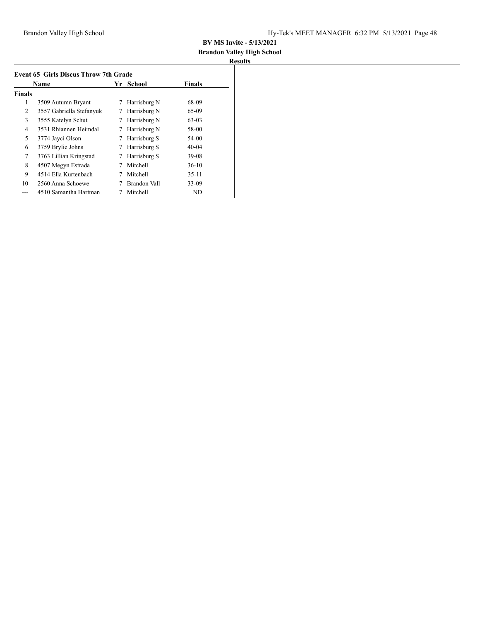## **Brandon Valley High School**

|               | Name                     | Yr | School       | <b>Finals</b> |
|---------------|--------------------------|----|--------------|---------------|
| <b>Finals</b> |                          |    |              |               |
| 1             | 3509 Autumn Bryant       | 7  | Harrisburg N | 68-09         |
| 2             | 3557 Gabriella Stefanyuk | 7  | Harrisburg N | 65-09         |
| 3             | 3555 Katelyn Schut       | 7  | Harrisburg N | 63-03         |
| 4             | 3531 Rhiannen Heimdal    | 7  | Harrisburg N | 58-00         |
| 5             | 3774 Jayci Olson         | 7  | Harrisburg S | 54-00         |
| 6             | 3759 Brylie Johns        | 7  | Harrisburg S | $40-04$       |
| 7             | 3763 Lillian Kringstad   | 7  | Harrisburg S | 39-08         |
| 8             | 4507 Megyn Estrada       | 7  | Mitchell     | $36-10$       |
| 9             | 4514 Ella Kurtenbach     | 7  | Mitchell     | 35-11         |
| 10            | 2560 Anna Schoewe        |    | Brandon Vall | $33-09$       |
| ---           | 4510 Samantha Hartman    |    | Mitchell     | ND            |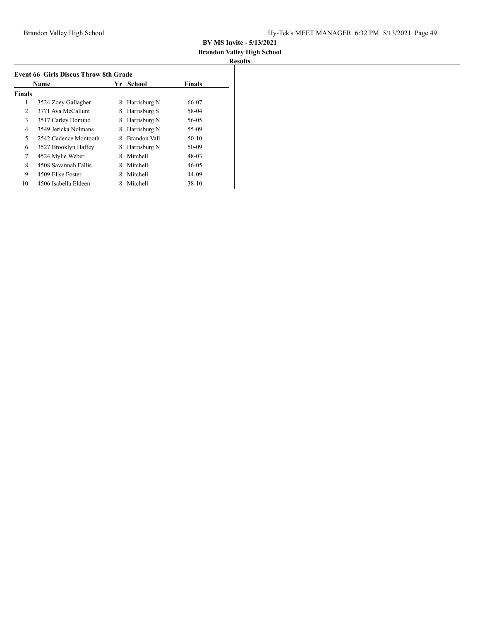## **Brandon Valley High School**

| <b>Event 66 Girls Discus Throw 8th Grade</b> |                       |   |              |               |  |  |
|----------------------------------------------|-----------------------|---|--------------|---------------|--|--|
|                                              | Name                  |   | Yr School    | <b>Finals</b> |  |  |
| <b>Finals</b>                                |                       |   |              |               |  |  |
| 1                                            | 3524 Zoey Gallagher   | 8 | Harrisburg N | 66-07         |  |  |
| 2                                            | 3771 Ava McCallum     | 8 | Harrisburg S | 58-04         |  |  |
| 3                                            | 3517 Carley Domino    | 8 | Harrisburg N | 56-05         |  |  |
| 4                                            | 3549 Jericka Nolmans  | 8 | Harrisburg N | 55-09         |  |  |
| 5                                            | 2542 Cadence Montooth | 8 | Brandon Vall | $50-10$       |  |  |
| 6                                            | 3527 Brooklyn Haffey  | 8 | Harrisburg N | 50-09         |  |  |
| 7                                            | 4524 Mylie Weber      | 8 | Mitchell     | 48-03         |  |  |
| 8                                            | 4508 Savannah Fallis  | 8 | Mitchell     | $46 - 05$     |  |  |
| 9                                            | 4509 Elise Foster     | 8 | Mitchell     | 44-09         |  |  |
| 10                                           | 4506 Isabella Eldeen  | 8 | Mitchell     | $38-10$       |  |  |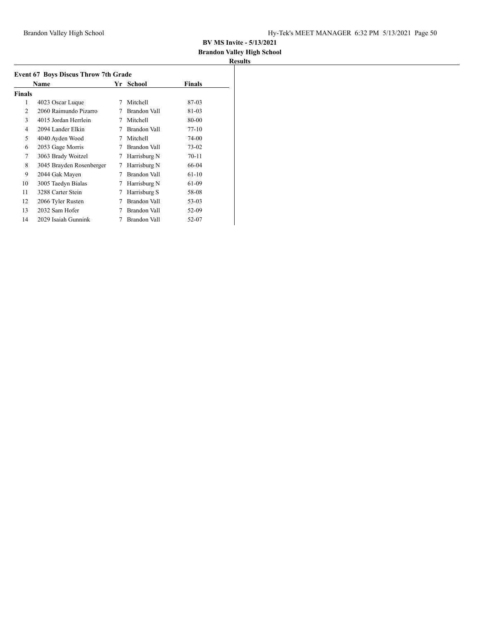## **Brandon Valley High School**

|               | <b>Event 67 Boys Discus Throw 7th Grade</b><br>Name | Yr | School              | <b>Finals</b> |  |
|---------------|-----------------------------------------------------|----|---------------------|---------------|--|
| <b>Finals</b> |                                                     |    |                     |               |  |
| 1             | 4023 Oscar Luque                                    | 7  | Mitchell            | 87-03         |  |
| 2             | 2060 Raimundo Pizarro                               | 7  | Brandon Vall        | 81-03         |  |
| 3             | 4015 Jordan Herrlein                                | 7  | Mitchell            | 80-00         |  |
| 4             | 2094 Lander Elkin                                   | 7  | Brandon Vall        | $77-10$       |  |
| 5             | 4040 Ayden Wood                                     | 7  | Mitchell            | 74-00         |  |
| 6             | 2053 Gage Morris                                    | 7  | Brandon Vall        | 73-02         |  |
| 7             | 3063 Brady Woitzel                                  | 7  | Harrisburg N        | $70-11$       |  |
| 8             | 3045 Brayden Rosenberger                            | 7  | Harrisburg N        | 66-04         |  |
| 9             | 2044 Gak Mayen                                      | 7  | Brandon Vall        | $61-10$       |  |
| 10            | 3005 Taedyn Bialas                                  | 7  | Harrisburg N        | 61-09         |  |
| 11            | 3288 Carter Stein                                   | 7  | Harrisburg S        | 58-08         |  |
| 12            | 2066 Tyler Rusten                                   | 7  | <b>Brandon Vall</b> | 53-03         |  |
| 13            | 2032 Sam Hofer                                      | 7  | Brandon Vall        | 52-09         |  |
| 14            | 2029 Isaiah Gunnink                                 |    | Brandon Vall        | 52-07         |  |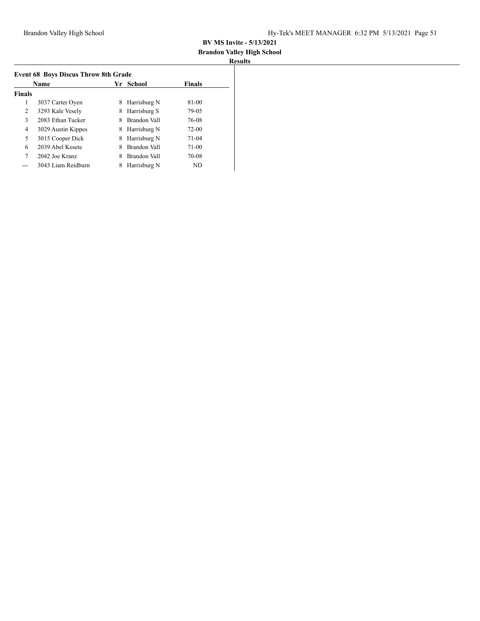## **Brandon Valley High School**

|               | Name               | Yr | School       | <b>Finals</b> |
|---------------|--------------------|----|--------------|---------------|
| <b>Finals</b> |                    |    |              |               |
| 1             | 3037 Carter Oyen   | 8  | Harrisburg N | 81-00         |
| 2             | 3293 Kale Vesely   | 8  | Harrisburg S | 79-05         |
| 3             | 2083 Ethan Tucker  | 8  | Brandon Vall | 76-08         |
| 4             | 3029 Austin Kippes | 8  | Harrisburg N | $72 - 00$     |
| 5             | 3015 Cooper Dick   | 8  | Harrisburg N | $71-04$       |
| 6             | 2039 Abel Kesete   | 8  | Brandon Vall | $71-00$       |
| 7             | 2042 Joe Kranz     | 8  | Brandon Vall | 70-08         |
|               | 3043 Liam Reidburn | 8  | Harrisburg N | ND            |
|               |                    |    |              |               |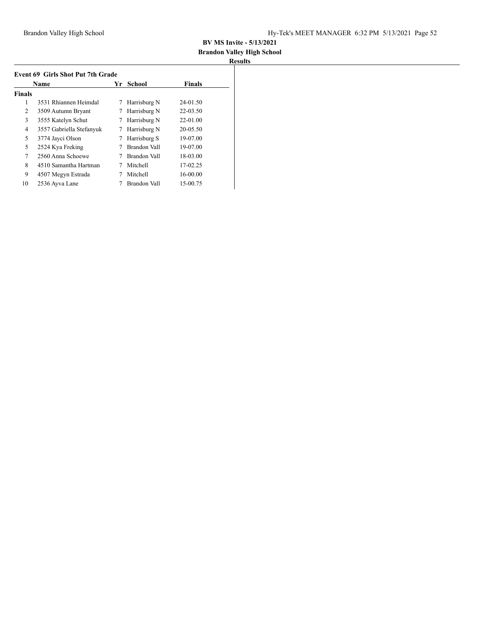# **Brandon Valley High School**

| <b>Event 69 Girls Shot Put 7th Grade</b> |                          |    |               |               |  |  |
|------------------------------------------|--------------------------|----|---------------|---------------|--|--|
| Name                                     |                          | Yr | <b>School</b> | <b>Finals</b> |  |  |
| <b>Finals</b>                            |                          |    |               |               |  |  |
| 1                                        | 3531 Rhiannen Heimdal    | 7  | Harrisburg N  | 24-01.50      |  |  |
| 2                                        | 3509 Autumn Bryant       |    | Harrisburg N  | 22-03.50      |  |  |
| 3                                        | 3555 Katelyn Schut       |    | Harrisburg N  | 22-01.00      |  |  |
| 4                                        | 3557 Gabriella Stefanyuk | 7  | Harrisburg N  | 20-05.50      |  |  |
| 5                                        | 3774 Jayci Olson         | 7  | Harrisburg S  | 19-07.00      |  |  |
| 5                                        | 2524 Kya Freking         |    | Brandon Vall  | 19-07.00      |  |  |
| 7                                        | 2560 Anna Schoewe        |    | Brandon Vall  | 18-03.00      |  |  |
| 8                                        | 4510 Samantha Hartman    |    | Mitchell      | 17-02.25      |  |  |
| 9                                        | 4507 Megyn Estrada       |    | Mitchell      | 16-00.00      |  |  |
| 10                                       | 2536 Ayva Lane           |    | Brandon Vall  | 15-00.75      |  |  |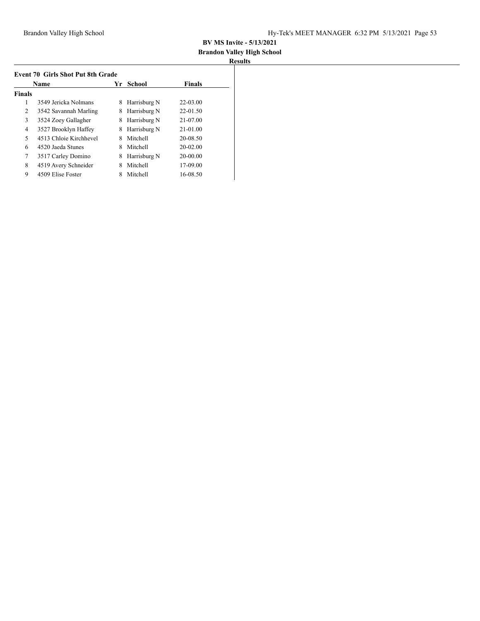## **Brandon Valley High School**

|                | Name                   | Yr | School       | <b>Finals</b> |
|----------------|------------------------|----|--------------|---------------|
| <b>Finals</b>  |                        |    |              |               |
| 1              | 3549 Jericka Nolmans   | 8  | Harrisburg N | $22 - 03.00$  |
| 2              | 3542 Savannah Marling  | 8  | Harrisburg N | $22 - 01.50$  |
| 3              | 3524 Zoey Gallagher    | 8  | Harrisburg N | 21-07.00      |
| 4              | 3527 Brooklyn Haffey   | 8  | Harrisburg N | $21 - 01.00$  |
| 5              | 4513 Chloje Kirchhevel | 8  | Mitchell     | 20-08.50      |
| 6              | 4520 Jaeda Stunes      | 8  | Mitchell     | $20 - 02.00$  |
| $\overline{7}$ | 3517 Carley Domino     | 8  | Harrisburg N | 20-00.00      |
| 8              | 4519 Avery Schneider   | 8  | Mitchell     | 17-09.00      |
| 9              | 4509 Elise Foster      |    | Mitchell     | 16-08.50      |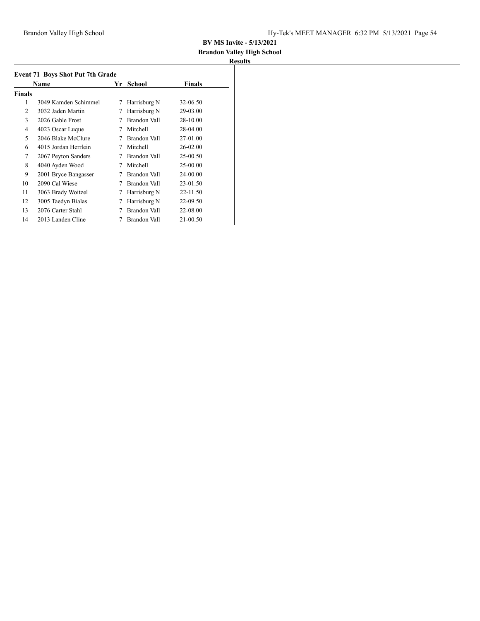## **Brandon Valley High School**

| <b>Event 71 Boys Shot Put 7th Grade</b> |                      |    |              |          |  |  |  |
|-----------------------------------------|----------------------|----|--------------|----------|--|--|--|
|                                         | Name                 | Yr | School       | Finals   |  |  |  |
| <b>Finals</b>                           |                      |    |              |          |  |  |  |
| 1                                       | 3049 Kamden Schimmel | 7  | Harrisburg N | 32-06.50 |  |  |  |
| 2                                       | 3032 Jaden Martin    | 7  | Harrisburg N | 29-03.00 |  |  |  |
| 3                                       | 2026 Gable Frost     | 7  | Brandon Vall | 28-10.00 |  |  |  |
| 4                                       | 4023 Oscar Luque     | 7  | Mitchell     | 28-04.00 |  |  |  |
| 5                                       | 2046 Blake McClure   | 7  | Brandon Vall | 27-01.00 |  |  |  |
| 6                                       | 4015 Jordan Herrlein | 7  | Mitchell     | 26-02.00 |  |  |  |
| 7                                       | 2067 Peyton Sanders  | 7  | Brandon Vall | 25-00.50 |  |  |  |
| 8                                       | 4040 Ayden Wood      | 7  | Mitchell     | 25-00.00 |  |  |  |
| 9                                       | 2001 Bryce Bangasser | 7  | Brandon Vall | 24-00.00 |  |  |  |
| 10                                      | 2090 Cal Wiese       | 7  | Brandon Vall | 23-01.50 |  |  |  |
| 11                                      | 3063 Brady Woitzel   | 7  | Harrisburg N | 22-11.50 |  |  |  |
| 12                                      | 3005 Taedyn Bialas   | 7  | Harrisburg N | 22-09.50 |  |  |  |
| 13                                      | 2076 Carter Stahl    |    | Brandon Vall | 22-08.00 |  |  |  |
| 14                                      | 2013 Landen Cline    | 7  | Brandon Vall | 21-00.50 |  |  |  |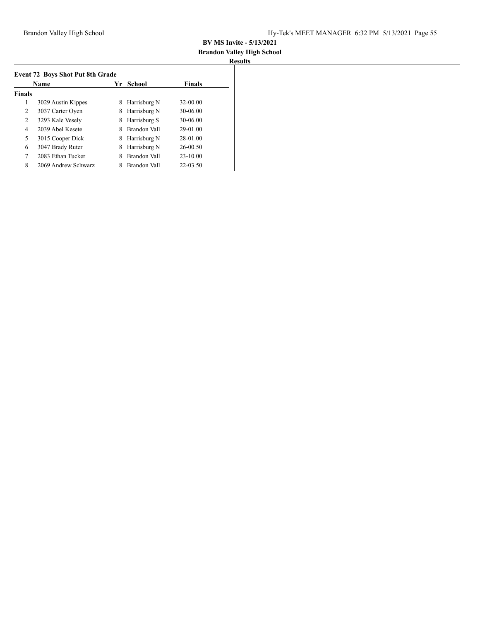## **Brandon Valley High School**

|                | <b>Name</b>         | Yr | School       | <b>Finals</b> |
|----------------|---------------------|----|--------------|---------------|
| <b>Finals</b>  |                     |    |              |               |
| 1              | 3029 Austin Kippes  | 8  | Harrisburg N | $32 - 00.00$  |
| 2              | 3037 Carter Oyen    | 8  | Harrisburg N | 30-06.00      |
| 2              | 3293 Kale Vesely    | 8  | Harrisburg S | 30-06.00      |
| $\overline{4}$ | 2039 Abel Kesete    | 8  | Brandon Vall | 29-01.00      |
| 5              | 3015 Cooper Dick    | 8  | Harrisburg N | 28-01.00      |
| 6              | 3047 Brady Ruter    | 8  | Harrisburg N | $26 - 00.50$  |
| 7              | 2083 Ethan Tucker   | 8  | Brandon Vall | $23 - 10.00$  |
| 8              | 2069 Andrew Schwarz |    | Brandon Vall | 22-03.50      |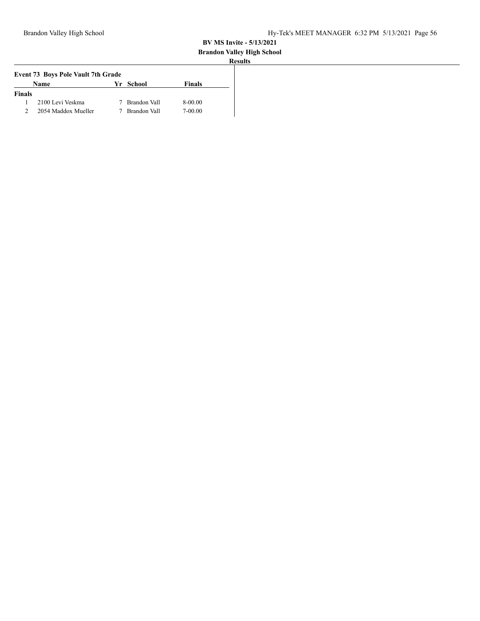# **Brandon Valley High School**

| ٠ |  |
|---|--|
|   |  |

| <b>Event 73 Boys Pole Vault 7th Grade</b> |                     |  |              |               |
|-------------------------------------------|---------------------|--|--------------|---------------|
|                                           | <b>Name</b>         |  | Yr School    | <b>Finals</b> |
| <b>Finals</b>                             |                     |  |              |               |
|                                           | 2100 Levi Veskma    |  | Brandon Vall | 8-00.00       |
|                                           | 2054 Maddox Mueller |  | Brandon Vall | 7-00.00       |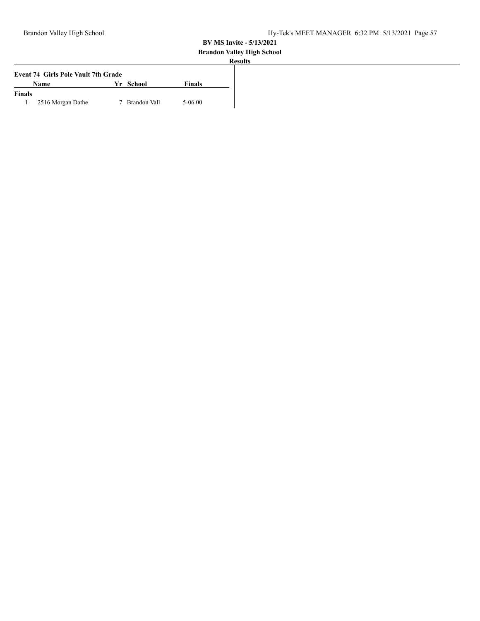# **Brandon Valley High School**

| Name              |                                            | <b>Finals</b> |  |
|-------------------|--------------------------------------------|---------------|--|
|                   |                                            |               |  |
| 2516 Morgan Dathe | Brandon Vall                               | 5-06.00       |  |
|                   | <b>Event 74 Girls Pole Vault 7th Grade</b> | Yr School     |  |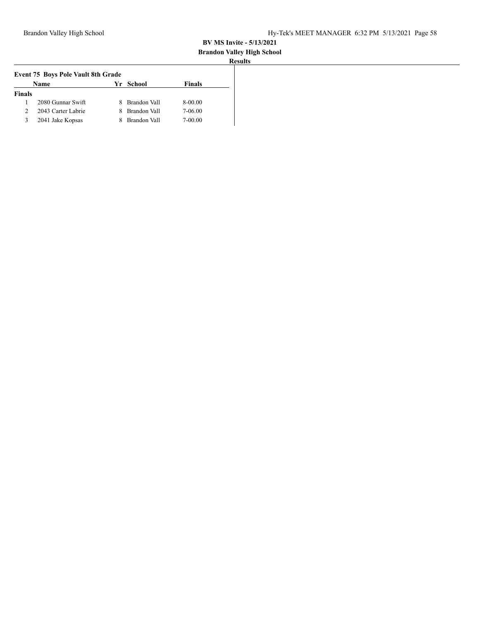# **Brandon Valley High School**

|               | <b>Event 75 Boys Pole Vault 8th Grade</b> |    |              |               |
|---------------|-------------------------------------------|----|--------------|---------------|
|               | Name                                      |    | Yr School    | <b>Finals</b> |
| <b>Finals</b> |                                           |    |              |               |
|               | 2080 Gunnar Swift                         | 8. | Brandon Vall | 8-00.00       |
|               | 2043 Carter Labrie                        | 8. | Brandon Vall | 7-06.00       |
| 3             | 2041 Jake Kopsas                          |    | Brandon Vall | 7-00.00       |